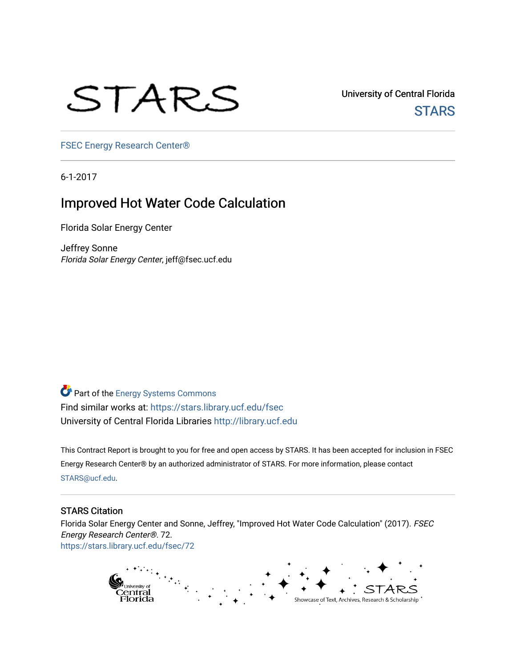# STARS

University of Central Florida **STARS** 

[FSEC Energy Research Center®](https://stars.library.ucf.edu/fsec) 

6-1-2017

# Improved Hot Water Code Calculation

Florida Solar Energy Center

Jeffrey Sonne Florida Solar Energy Center, jeff@fsec.ucf.edu

Part of the [Energy Systems Commons](http://network.bepress.com/hgg/discipline/299?utm_source=stars.library.ucf.edu%2Ffsec%2F72&utm_medium=PDF&utm_campaign=PDFCoverPages)  Find similar works at: <https://stars.library.ucf.edu/fsec> University of Central Florida Libraries [http://library.ucf.edu](http://library.ucf.edu/) 

This Contract Report is brought to you for free and open access by STARS. It has been accepted for inclusion in FSEC Energy Research Center® by an authorized administrator of STARS. For more information, please contact [STARS@ucf.edu](mailto:STARS@ucf.edu).

### STARS Citation

Florida Solar Energy Center and Sonne, Jeffrey, "Improved Hot Water Code Calculation" (2017). FSEC Energy Research Center®. 72. [https://stars.library.ucf.edu/fsec/72](https://stars.library.ucf.edu/fsec/72?utm_source=stars.library.ucf.edu%2Ffsec%2F72&utm_medium=PDF&utm_campaign=PDFCoverPages) 

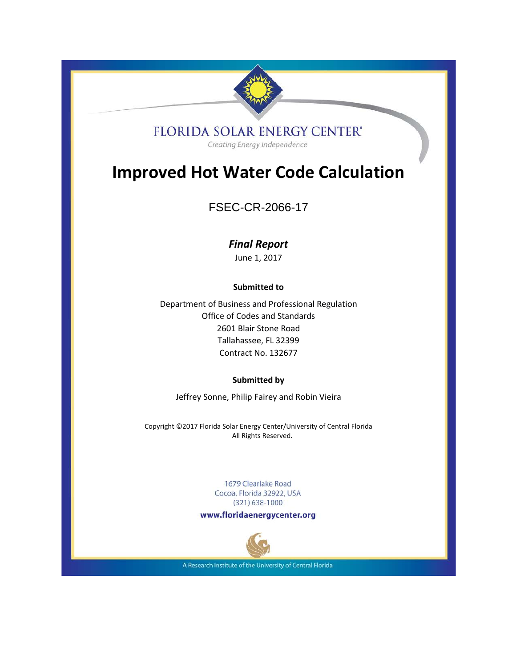

# **FLORIDA SOLAR ENERGY CENTER'**

Creating Energy Independence

# **Improved Hot Water Code Calculation**

# FSEC-CR-2066-17

# *Final Report*

June 1, 2017

# **Submitted to**

Department of Business and Professional Regulation Office of Codes and Standards 2601 Blair Stone Road Tallahassee, FL 32399 Contract No. 132677

### **Submitted by**

Jeffrey Sonne, Philip Fairey and Robin Vieira

Copyright ©2017 Florida Solar Energy Center/University of Central Florida All Rights Reserved.

> 1679 Clearlake Road Cocoa, Florida 32922, USA  $(321)$  638-1000

www.floridaenergycenter.org



A Research Institute of the University of Central Florida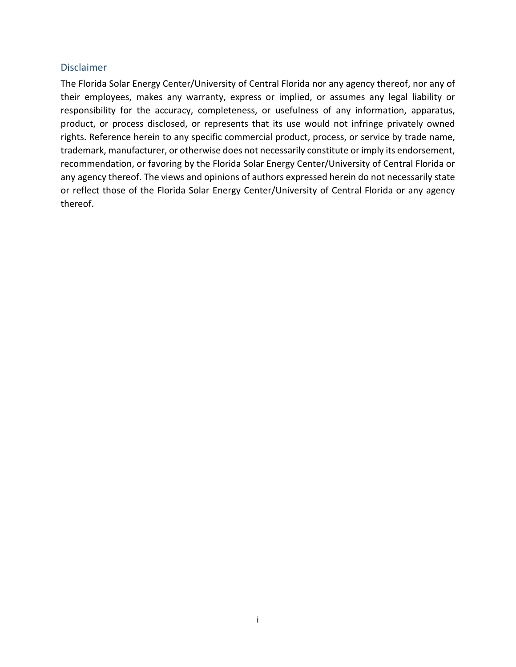## <span id="page-2-0"></span>Disclaimer

The Florida Solar Energy Center/University of Central Florida nor any agency thereof, nor any of their employees, makes any warranty, express or implied, or assumes any legal liability or responsibility for the accuracy, completeness, or usefulness of any information, apparatus, product, or process disclosed, or represents that its use would not infringe privately owned rights. Reference herein to any specific commercial product, process, or service by trade name, trademark, manufacturer, or otherwise does not necessarily constitute or imply its endorsement, recommendation, or favoring by the Florida Solar Energy Center/University of Central Florida or any agency thereof. The views and opinions of authors expressed herein do not necessarily state or reflect those of the Florida Solar Energy Center/University of Central Florida or any agency thereof.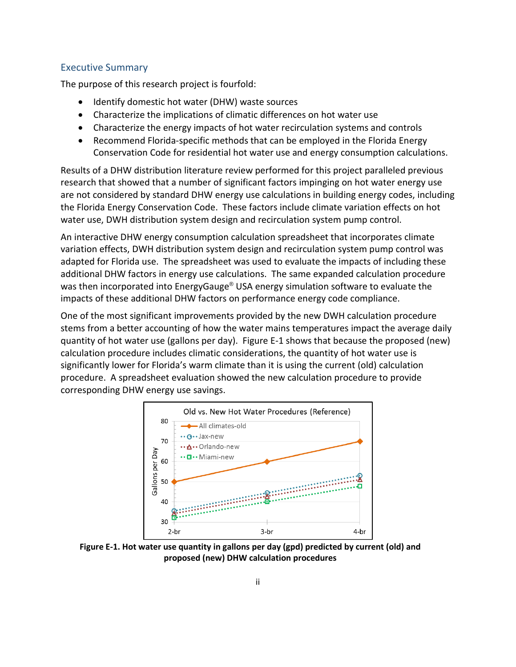### <span id="page-3-0"></span>Executive Summary

The purpose of this research project is fourfold:

- Identify domestic hot water (DHW) waste sources
- Characterize the implications of climatic differences on hot water use
- Characterize the energy impacts of hot water recirculation systems and controls
- Recommend Florida-specific methods that can be employed in the Florida Energy Conservation Code for residential hot water use and energy consumption calculations.

Results of a DHW distribution literature review performed for this project paralleled previous research that showed that a number of significant factors impinging on hot water energy use are not considered by standard DHW energy use calculations in building energy codes, including the Florida Energy Conservation Code. These factors include climate variation effects on hot water use, DWH distribution system design and recirculation system pump control.

An interactive DHW energy consumption calculation spreadsheet that incorporates climate variation effects, DWH distribution system design and recirculation system pump control was adapted for Florida use. The spreadsheet was used to evaluate the impacts of including these additional DHW factors in energy use calculations. The same expanded calculation procedure was then incorporated into EnergyGauge® USA energy simulation software to evaluate the impacts of these additional DHW factors on performance energy code compliance.

One of the most significant improvements provided by the new DWH calculation procedure stems from a better accounting of how the water mains temperatures impact the average daily quantity of hot water use (gallons per day). Figure E-1 shows that because the proposed (new) calculation procedure includes climatic considerations, the quantity of hot water use is significantly lower for Florida's warm climate than it is using the current (old) calculation procedure. A spreadsheet evaluation showed the new calculation procedure to provide corresponding DHW energy use savings.



**Figure E-1. Hot water use quantity in gallons per day (gpd) predicted by current (old) and proposed (new) DHW calculation procedures**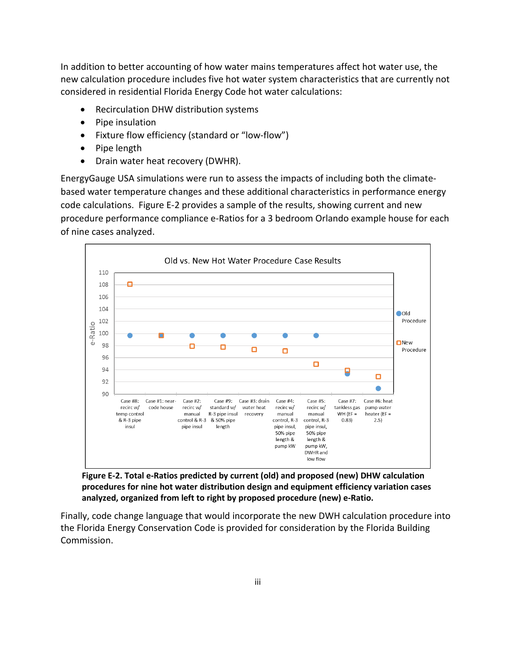In addition to better accounting of how water mains temperatures affect hot water use, the new calculation procedure includes five hot water system characteristics that are currently not considered in residential Florida Energy Code hot water calculations:

- Recirculation DHW distribution systems
- Pipe insulation
- Fixture flow efficiency (standard or "low-flow")
- Pipe length
- Drain water heat recovery (DWHR).

EnergyGauge USA simulations were run to assess the impacts of including both the climatebased water temperature changes and these additional characteristics in performance energy code calculations. Figure E-2 provides a sample of the results, showing current and new procedure performance compliance e-Ratios for a 3 bedroom Orlando example house for each of nine cases analyzed.



**Figure E-2. Total e-Ratios predicted by current (old) and proposed (new) DHW calculation procedures for nine hot water distribution design and equipment efficiency variation cases analyzed, organized from left to right by proposed procedure (new) e-Ratio.** 

Finally, code change language that would incorporate the new DWH calculation procedure into the Florida Energy Conservation Code is provided for consideration by the Florida Building Commission.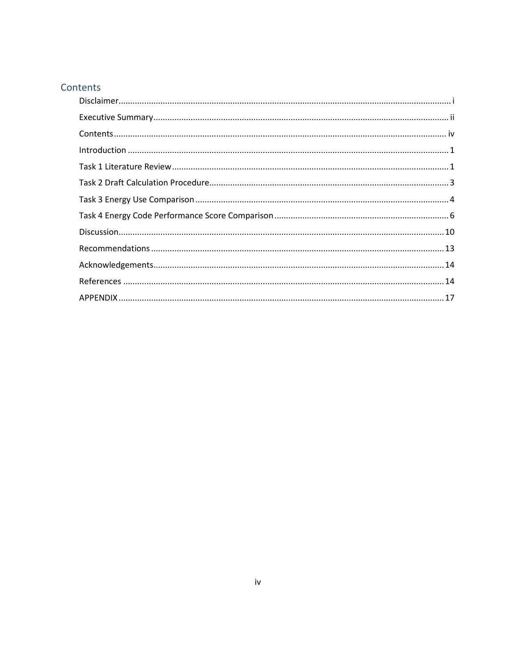# <span id="page-5-0"></span>Contents

| $\label{lem:1} \mbox{Introduction} \,\, \ldots \,\, \ldots \,\, \ldots \,\, \ldots \,\, \ldots \,\, \ldots \,\, \ldots \,\, \ldots \,\, \ldots \,\, \ldots \,\, \ldots \,\, \ldots \,\, \ldots \,\, \ldots \,\, \ldots \,\, \ldots \,\, \ldots \,\, \ldots \,\, \ldots \,\, \ldots \,\, \ldots \,\, \ldots \,\, \ldots \,\, \ldots \,\, \ldots \,\, \ldots \,\, \ldots \,\, \ldots \,\, \ldots \,\, \ldots \,\, \ldots \,\, \ldots \,\, \ldots \,\, \ldots \,\,$ |  |
|------------------------------------------------------------------------------------------------------------------------------------------------------------------------------------------------------------------------------------------------------------------------------------------------------------------------------------------------------------------------------------------------------------------------------------------------------------------|--|
|                                                                                                                                                                                                                                                                                                                                                                                                                                                                  |  |
|                                                                                                                                                                                                                                                                                                                                                                                                                                                                  |  |
|                                                                                                                                                                                                                                                                                                                                                                                                                                                                  |  |
|                                                                                                                                                                                                                                                                                                                                                                                                                                                                  |  |
|                                                                                                                                                                                                                                                                                                                                                                                                                                                                  |  |
|                                                                                                                                                                                                                                                                                                                                                                                                                                                                  |  |
|                                                                                                                                                                                                                                                                                                                                                                                                                                                                  |  |
|                                                                                                                                                                                                                                                                                                                                                                                                                                                                  |  |
|                                                                                                                                                                                                                                                                                                                                                                                                                                                                  |  |
|                                                                                                                                                                                                                                                                                                                                                                                                                                                                  |  |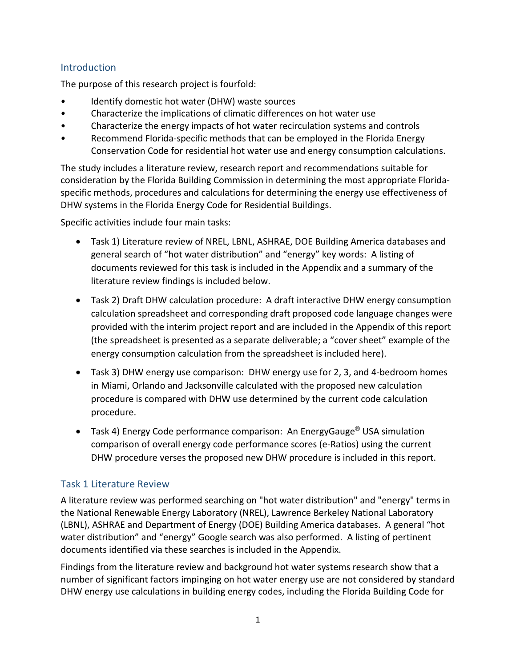# <span id="page-6-0"></span>**Introduction**

The purpose of this research project is fourfold:

- Identify domestic hot water (DHW) waste sources
- Characterize the implications of climatic differences on hot water use
- Characterize the energy impacts of hot water recirculation systems and controls
- Recommend Florida-specific methods that can be employed in the Florida Energy Conservation Code for residential hot water use and energy consumption calculations.

The study includes a literature review, research report and recommendations suitable for consideration by the Florida Building Commission in determining the most appropriate Floridaspecific methods, procedures and calculations for determining the energy use effectiveness of DHW systems in the Florida Energy Code for Residential Buildings.

Specific activities include four main tasks:

- Task 1) Literature review of NREL, LBNL, ASHRAE, DOE Building America databases and general search of "hot water distribution" and "energy" key words: A listing of documents reviewed for this task is included in the Appendix and a summary of the literature review findings is included below.
- Task 2) Draft DHW calculation procedure: A draft interactive DHW energy consumption calculation spreadsheet and corresponding draft proposed code language changes were provided with the interim project report and are included in the Appendix of this report (the spreadsheet is presented as a separate deliverable; a "cover sheet" example of the energy consumption calculation from the spreadsheet is included here).
- Task 3) DHW energy use comparison: DHW energy use for 2, 3, and 4-bedroom homes in Miami, Orlando and Jacksonville calculated with the proposed new calculation procedure is compared with DHW use determined by the current code calculation procedure.
- Task 4) Energy Code performance comparison: An EnergyGauge<sup>®</sup> USA simulation comparison of overall energy code performance scores (e-Ratios) using the current DHW procedure verses the proposed new DHW procedure is included in this report.

# <span id="page-6-1"></span>Task 1 Literature Review

A literature review was performed searching on "hot water distribution" and "energy" terms in the National Renewable Energy Laboratory (NREL), Lawrence Berkeley National Laboratory (LBNL), ASHRAE and Department of Energy (DOE) Building America databases. A general "hot water distribution" and "energy" Google search was also performed. A listing of pertinent documents identified via these searches is included in the Appendix.

Findings from the literature review and background hot water systems research show that a number of significant factors impinging on hot water energy use are not considered by standard DHW energy use calculations in building energy codes, including the Florida Building Code for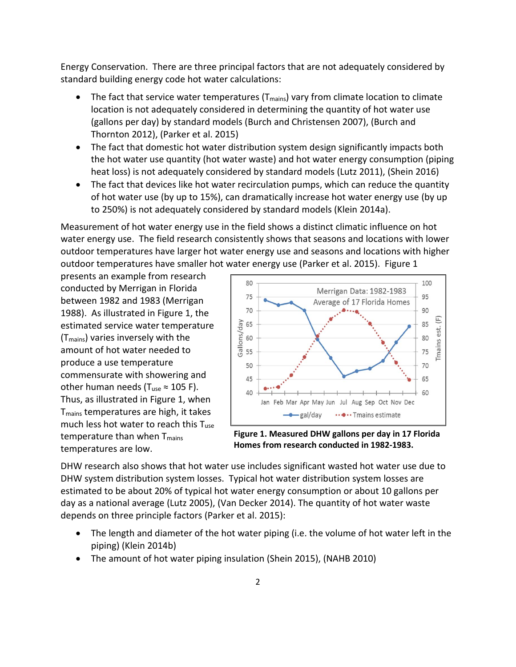Energy Conservation. There are three principal factors that are not adequately considered by standard building energy code hot water calculations:

- The fact that service water temperatures ( $T_{\text{main}}$ ) vary from climate location to climate location is not adequately considered in determining the quantity of hot water use (gallons per day) by standard models (Burch and Christensen 2007), (Burch and Thornton 2012), (Parker et al. 2015)
- The fact that domestic hot water distribution system design significantly impacts both the hot water use quantity (hot water waste) and hot water energy consumption (piping heat loss) is not adequately considered by standard models (Lutz 2011), (Shein 2016)
- The fact that devices like hot water recirculation pumps, which can reduce the quantity of hot water use (by up to 15%), can dramatically increase hot water energy use (by up to 250%) is not adequately considered by standard models (Klein 2014a).

Measurement of hot water energy use in the field shows a distinct climatic influence on hot water energy use. The field research consistently shows that seasons and locations with lower outdoor temperatures have larger hot water energy use and seasons and locations with higher outdoor temperatures have smaller hot water energy use (Parker et al. 2015). Figure 1

presents an example from research conducted by Merrigan in Florida between 1982 and 1983 (Merrigan 1988). As illustrated in Figure 1, the estimated service water temperature (Tmains) varies inversely with the amount of hot water needed to produce a use temperature commensurate with showering and other human needs (T<sub>use</sub>  $\approx$  105 F). Thus, as illustrated in Figure 1, when Tmains temperatures are high, it takes much less hot water to reach this  $T_{use}$ temperature than when  $T_{\text{main}}$ temperatures are low.



**Figure 1. Measured DHW gallons per day in 17 Florida Homes from research conducted in 1982-1983.**

DHW research also shows that hot water use includes significant wasted hot water use due to DHW system distribution system losses. Typical hot water distribution system losses are estimated to be about 20% of typical hot water energy consumption or about 10 gallons per day as a national average (Lutz 2005), (Van Decker 2014). The quantity of hot water waste depends on three principle factors (Parker et al. 2015):

- The length and diameter of the hot water piping (i.e. the volume of hot water left in the piping) (Klein 2014b)
- The amount of hot water piping insulation (Shein 2015), (NAHB 2010)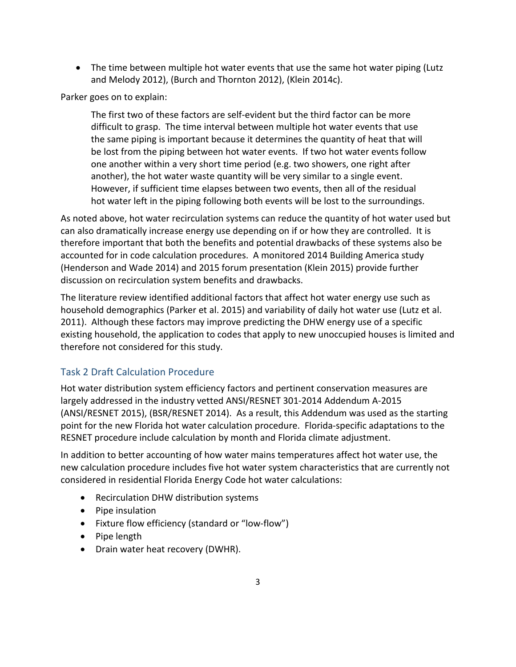• The time between multiple hot water events that use the same hot water piping (Lutz and Melody 2012), (Burch and Thornton 2012), (Klein 2014c).

Parker goes on to explain:

The first two of these factors are self-evident but the third factor can be more difficult to grasp. The time interval between multiple hot water events that use the same piping is important because it determines the quantity of heat that will be lost from the piping between hot water events. If two hot water events follow one another within a very short time period (e.g. two showers, one right after another), the hot water waste quantity will be very similar to a single event. However, if sufficient time elapses between two events, then all of the residual hot water left in the piping following both events will be lost to the surroundings.

As noted above, hot water recirculation systems can reduce the quantity of hot water used but can also dramatically increase energy use depending on if or how they are controlled. It is therefore important that both the benefits and potential drawbacks of these systems also be accounted for in code calculation procedures. A monitored 2014 Building America study (Henderson and Wade 2014) and 2015 forum presentation (Klein 2015) provide further discussion on recirculation system benefits and drawbacks.

The literature review identified additional factors that affect hot water energy use such as household demographics (Parker et al. 2015) and variability of daily hot water use (Lutz et al. 2011). Although these factors may improve predicting the DHW energy use of a specific existing household, the application to codes that apply to new unoccupied houses is limited and therefore not considered for this study.

# <span id="page-8-0"></span>Task 2 Draft Calculation Procedure

Hot water distribution system efficiency factors and pertinent conservation measures are largely addressed in the industry vetted ANSI/RESNET 301-2014 Addendum A-2015 (ANSI/RESNET 2015), (BSR/RESNET 2014). As a result, this Addendum was used as the starting point for the new Florida hot water calculation procedure. Florida-specific adaptations to the RESNET procedure include calculation by month and Florida climate adjustment.

In addition to better accounting of how water mains temperatures affect hot water use, the new calculation procedure includes five hot water system characteristics that are currently not considered in residential Florida Energy Code hot water calculations:

- Recirculation DHW distribution systems
- Pipe insulation
- Fixture flow efficiency (standard or "low-flow")
- Pipe length
- Drain water heat recovery (DWHR).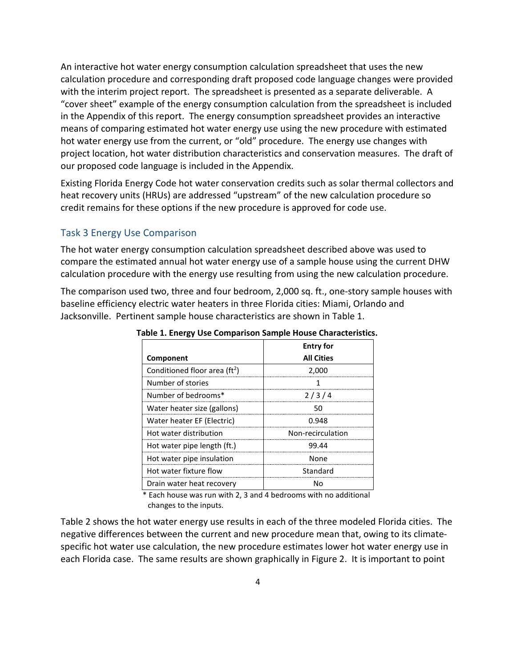An interactive hot water energy consumption calculation spreadsheet that uses the new calculation procedure and corresponding draft proposed code language changes were provided with the interim project report. The spreadsheet is presented as a separate deliverable. A "cover sheet" example of the energy consumption calculation from the spreadsheet is included in the Appendix of this report. The energy consumption spreadsheet provides an interactive means of comparing estimated hot water energy use using the new procedure with estimated hot water energy use from the current, or "old" procedure. The energy use changes with project location, hot water distribution characteristics and conservation measures. The draft of our proposed code language is included in the Appendix.

Existing Florida Energy Code hot water conservation credits such as solar thermal collectors and heat recovery units (HRUs) are addressed "upstream" of the new calculation procedure so credit remains for these options if the new procedure is approved for code use.

#### <span id="page-9-0"></span>Task 3 Energy Use Comparison

The hot water energy consumption calculation spreadsheet described above was used to compare the estimated annual hot water energy use of a sample house using the current DHW calculation procedure with the energy use resulting from using the new calculation procedure.

The comparison used two, three and four bedroom, 2,000 sq. ft., one-story sample houses with baseline efficiency electric water heaters in three Florida cities: Miami, Orlando and Jacksonville. Pertinent sample house characteristics are shown in Table 1.

| -------                                   |                   |
|-------------------------------------------|-------------------|
|                                           | <b>Entry for</b>  |
| Component                                 | <b>All Cities</b> |
| Conditioned floor area (ft <sup>2</sup> ) | 2,000             |
| Number of stories                         |                   |
| Number of bedrooms*                       | 2/3/4             |
| Water heater size (gallons)               | 50                |
| Water heater EF (Electric)                | 0.948             |
| Hot water distribution                    | Non-recirculation |
| Hot water pipe length (ft.)               | 99.44             |
| Hot water pipe insulation                 | None              |
| Hot water fixture flow                    | Standard          |
| Drain water heat recovery                 | N٥                |

**Table 1. Energy Use Comparison Sample House Characteristics.**

\* Each house was run with 2, 3 and 4 bedrooms with no additional changes to the inputs.

Table 2 shows the hot water energy use results in each of the three modeled Florida cities. The negative differences between the current and new procedure mean that, owing to its climatespecific hot water use calculation, the new procedure estimates lower hot water energy use in each Florida case. The same results are shown graphically in Figure 2. It is important to point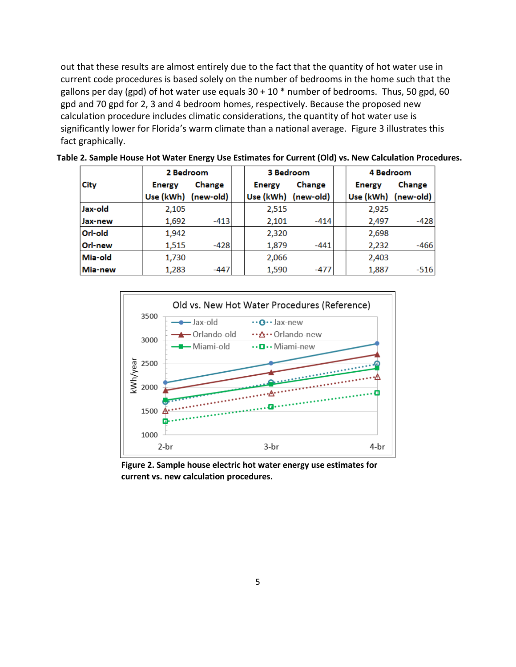out that these results are almost entirely due to the fact that the quantity of hot water use in current code procedures is based solely on the number of bedrooms in the home such that the gallons per day (gpd) of hot water use equals  $30 + 10$  \* number of bedrooms. Thus, 50 gpd, 60 gpd and 70 gpd for 2, 3 and 4 bedroom homes, respectively. Because the proposed new calculation procedure includes climatic considerations, the quantity of hot water use is significantly lower for Florida's warm climate than a national average. Figure 3 illustrates this fact graphically.

|         | 2 Bedroom           |        | 3 Bedroom |                     |        |                     | 4 Bedroom |  |
|---------|---------------------|--------|-----------|---------------------|--------|---------------------|-----------|--|
| City    | <b>Energy</b>       | Change |           | <b>Energy</b>       | Change | <b>Energy</b>       | Change    |  |
|         | Use (kWh) (new-old) |        |           | Use (kWh) (new-old) |        | Use (kWh) (new-old) |           |  |
| Jax-old | 2,105               |        |           | 2,515               |        | 2,925               |           |  |
| Jax-new | 1,692               | $-413$ |           | 2,101               | $-414$ | 2,497               | $-428$    |  |
| Orl-old | 1,942               |        |           | 2,320               |        | 2,698               |           |  |
| Orl-new | 1,515               | $-428$ |           | 1,879               | $-441$ | 2,232               | -466      |  |
| Mia-old | 1,730               |        |           | 2,066               |        | 2,403               |           |  |
| Mia-new | 1,283               | $-447$ |           | 1,590               | -477   | 1,887               | $-516$    |  |

**Table 2. Sample House Hot Water Energy Use Estimates for Current (Old) vs. New Calculation Procedures.**



**Figure 2. Sample house electric hot water energy use estimates for current vs. new calculation procedures.**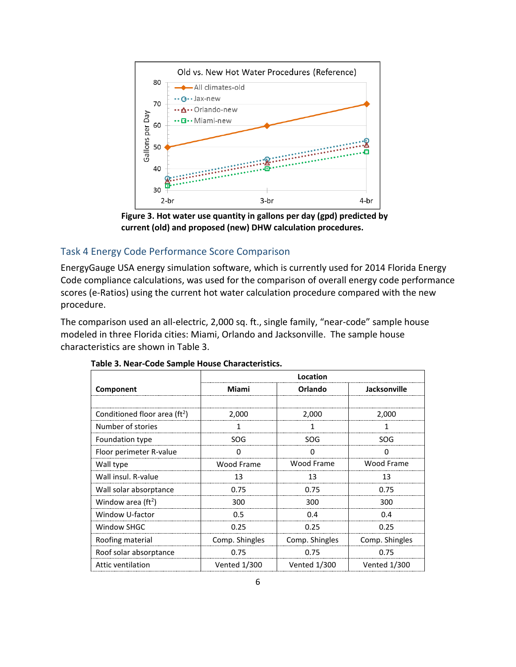

**Figure 3. Hot water use quantity in gallons per day (gpd) predicted by current (old) and proposed (new) DHW calculation procedures.**

# <span id="page-11-0"></span>Task 4 Energy Code Performance Score Comparison

EnergyGauge USA energy simulation software, which is currently used for 2014 Florida Energy Code compliance calculations, was used for the comparison of overall energy code performance scores (e-Ratios) using the current hot water calculation procedure compared with the new procedure.

The comparison used an all-electric, 2,000 sq. ft., single family, "near-code" sample house modeled in three Florida cities: Miami, Orlando and Jacksonville. The sample house characteristics are shown in Table 3.

|                                           | Location            |                     |                     |  |  |  |
|-------------------------------------------|---------------------|---------------------|---------------------|--|--|--|
| Component                                 | Miami               | Orlando             | Jacksonville        |  |  |  |
|                                           |                     |                     |                     |  |  |  |
| Conditioned floor area (ft <sup>2</sup> ) | 2,000               | 2,000               | 2,000               |  |  |  |
| Number of stories                         |                     |                     |                     |  |  |  |
| Foundation type                           | SOG.                | SOG.                | SOG                 |  |  |  |
| Floor perimeter R-value                   | O                   | <sup>0</sup>        | <sup>0</sup>        |  |  |  |
| Wall type                                 | Wood Frame          | Wood Frame          | Wood Frame          |  |  |  |
| Wall insul. R-value                       | 13                  | 13                  | 13                  |  |  |  |
| Wall solar absorptance                    | 0.75                | 0.75                | 0.75                |  |  |  |
| Window area $(ft^2)$                      | 300                 | 300                 | 300                 |  |  |  |
| Window U-factor                           | 0.5                 | 0.4                 | 0.4                 |  |  |  |
| Window SHGC                               | 0.25                | 0.25                | 0.25                |  |  |  |
| Roofing material                          | Comp. Shingles      | Comp. Shingles      | Comp. Shingles      |  |  |  |
| Roof solar absorptance                    | 0.75                | 0.75                | 0.75                |  |  |  |
| Attic ventilation                         | <b>Vented 1/300</b> | <b>Vented 1/300</b> | <b>Vented 1/300</b> |  |  |  |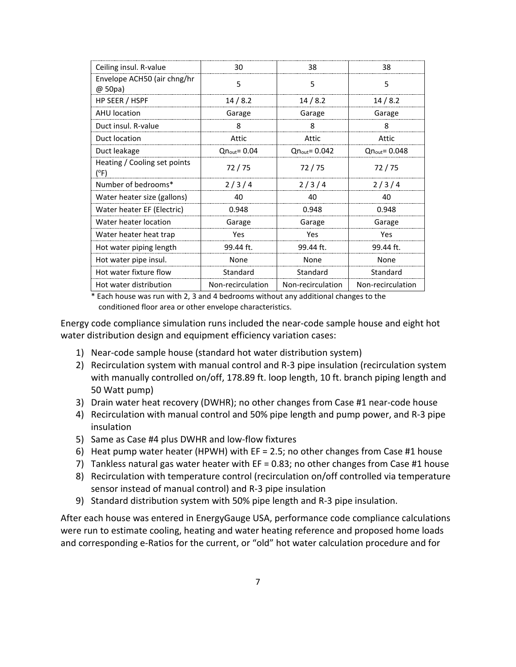| Ceiling insul. R-value                 | 30                       | 38                        | 38                        |
|----------------------------------------|--------------------------|---------------------------|---------------------------|
| Envelope ACH50 (air chng/hr<br>@ 50pa) | 5                        | 5                         | 5                         |
| HP SEER / HSPF                         | 14/8.2                   | 14/8.2                    | 14/8.2                    |
| <b>AHU</b> location                    | Garage                   | Garage                    | Garage                    |
| Duct insul. R-value                    | 8                        | 8                         | 8                         |
| Duct location                          | Attic                    | Attic                     | Attic                     |
| Duct leakage                           | $Qn_{\text{out}} = 0.04$ | $Qn_{\text{out}} = 0.042$ | $Qn_{\text{out}} = 0.048$ |
| Heating / Cooling set points<br>(°F)   | 72 / 75                  | 72/75                     | 72/75                     |
| Number of bedrooms*                    | 2/3/4                    | 2/3/4                     | 2/3/4                     |
| Water heater size (gallons)            | 40                       | 40                        | 40                        |
| Water heater EF (Electric)             | 0.948                    | 0.948                     | 0.948                     |
| Water heater location                  | Garage                   | Garage                    | Garage                    |
| Water heater heat trap                 | Yes                      | Yes                       | Yes                       |
| Hot water piping length                | 99.44 ft.                | 99.44 ft.                 | 99.44 ft.                 |
| Hot water pipe insul.                  | None                     | None                      | None                      |
| Hot water fixture flow                 | Standard                 | Standard                  | Standard                  |
| Hot water distribution                 | Non-recirculation        | Non-recirculation         | Non-recirculation         |

\* Each house was run with 2, 3 and 4 bedrooms without any additional changes to the conditioned floor area or other envelope characteristics.

Energy code compliance simulation runs included the near-code sample house and eight hot water distribution design and equipment efficiency variation cases:

- 1) Near-code sample house (standard hot water distribution system)
- 2) Recirculation system with manual control and R-3 pipe insulation (recirculation system with manually controlled on/off, 178.89 ft. loop length, 10 ft. branch piping length and 50 Watt pump)
- 3) Drain water heat recovery (DWHR); no other changes from Case #1 near-code house
- 4) Recirculation with manual control and 50% pipe length and pump power, and R-3 pipe insulation
- 5) Same as Case #4 plus DWHR and low-flow fixtures
- 6) Heat pump water heater (HPWH) with EF = 2.5; no other changes from Case #1 house
- 7) Tankless natural gas water heater with EF = 0.83; no other changes from Case #1 house
- 8) Recirculation with temperature control (recirculation on/off controlled via temperature sensor instead of manual control) and R-3 pipe insulation
- 9) Standard distribution system with 50% pipe length and R-3 pipe insulation.

After each house was entered in EnergyGauge USA, performance code compliance calculations were run to estimate cooling, heating and water heating reference and proposed home loads and corresponding e-Ratios for the current, or "old" hot water calculation procedure and for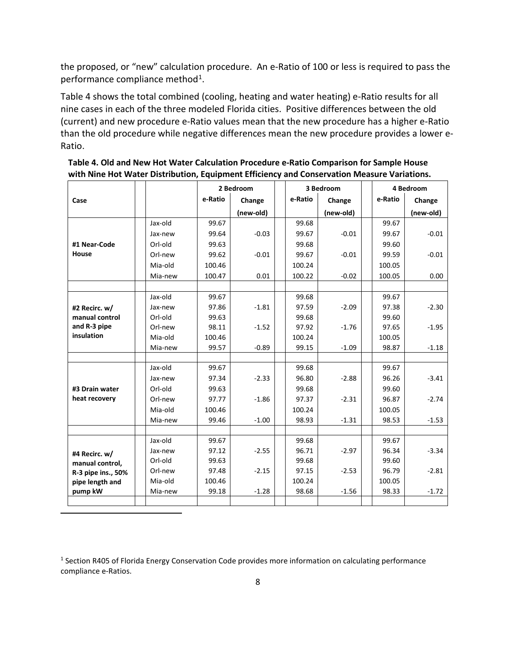the proposed, or "new" calculation procedure. An e-Ratio of 100 or less is required to pass the performance compliance method<sup>1</sup>.

Table 4 shows the total combined (cooling, heating and water heating) e-Ratio results for all nine cases in each of the three modeled Florida cities. Positive differences between the old (current) and new procedure e-Ratio values mean that the new procedure has a higher e-Ratio than the old procedure while negative differences mean the new procedure provides a lower e-Ratio.

|                    |         | 2 Bedroom |           | 3 Bedroom |           | 4 Bedroom |           |
|--------------------|---------|-----------|-----------|-----------|-----------|-----------|-----------|
| Case               |         | e-Ratio   | Change    | e-Ratio   | Change    | e-Ratio   | Change    |
|                    |         |           | (new-old) |           | (new-old) |           | (new-old) |
|                    | Jax-old | 99.67     |           | 99.68     |           | 99.67     |           |
|                    | Jax-new | 99.64     | $-0.03$   | 99.67     | $-0.01$   | 99.67     | $-0.01$   |
| #1 Near-Code       | Orl-old | 99.63     |           | 99.68     |           | 99.60     |           |
| House              | Orl-new | 99.62     | $-0.01$   | 99.67     | $-0.01$   | 99.59     | $-0.01$   |
|                    | Mia-old | 100.46    |           | 100.24    |           | 100.05    |           |
|                    | Mia-new | 100.47    | 0.01      | 100.22    | $-0.02$   | 100.05    | 0.00      |
|                    |         |           |           |           |           |           |           |
|                    | Jax-old | 99.67     |           | 99.68     |           | 99.67     |           |
| #2 Recirc. w/      | Jax-new | 97.86     | $-1.81$   | 97.59     | $-2.09$   | 97.38     | $-2.30$   |
| manual control     | Orl-old | 99.63     |           | 99.68     |           | 99.60     |           |
| and R-3 pipe       | Orl-new | 98.11     | $-1.52$   | 97.92     | $-1.76$   | 97.65     | $-1.95$   |
| insulation         | Mia-old | 100.46    |           | 100.24    |           | 100.05    |           |
|                    | Mia-new | 99.57     | $-0.89$   | 99.15     | $-1.09$   | 98.87     | $-1.18$   |
|                    |         |           |           |           |           |           |           |
|                    | Jax-old | 99.67     |           | 99.68     |           | 99.67     |           |
|                    | Jax-new | 97.34     | $-2.33$   | 96.80     | $-2.88$   | 96.26     | $-3.41$   |
| #3 Drain water     | Orl-old | 99.63     |           | 99.68     |           | 99.60     |           |
| heat recovery      | Orl-new | 97.77     | $-1.86$   | 97.37     | $-2.31$   | 96.87     | $-2.74$   |
|                    | Mia-old | 100.46    |           | 100.24    |           | 100.05    |           |
|                    | Mia-new | 99.46     | $-1.00$   | 98.93     | $-1.31$   | 98.53     | $-1.53$   |
|                    |         |           |           |           |           |           |           |
|                    | Jax-old | 99.67     |           | 99.68     |           | 99.67     |           |
| #4 Recirc. w/      | Jax-new | 97.12     | $-2.55$   | 96.71     | $-2.97$   | 96.34     | $-3.34$   |
| manual control,    | Orl-old | 99.63     |           | 99.68     |           | 99.60     |           |
| R-3 pipe ins., 50% | Orl-new | 97.48     | $-2.15$   | 97.15     | $-2.53$   | 96.79     | $-2.81$   |
| pipe length and    | Mia-old | 100.46    |           | 100.24    |           | 100.05    |           |
| pump kW            | Mia-new | 99.18     | $-1.28$   | 98.68     | $-1.56$   | 98.33     | $-1.72$   |
|                    |         |           |           |           |           |           |           |

**Table 4. Old and New Hot Water Calculation Procedure e-Ratio Comparison for Sample House with Nine Hot Water Distribution, Equipment Efficiency and Conservation Measure Variations.**

<span id="page-13-0"></span><sup>1</sup> Section R405 of Florida Energy Conservation Code provides more information on calculating performance compliance e-Ratios.

 $\overline{a}$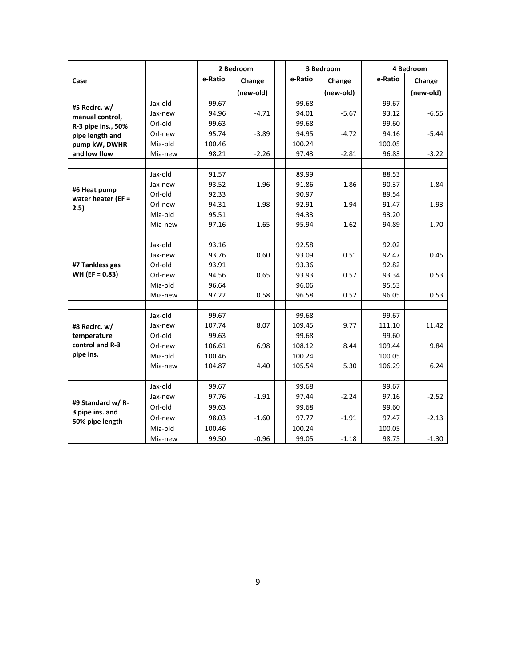|                                  |                    |                 | 2 Bedroom | 3 Bedroom |                 | 4 Bedroom |                 |           |
|----------------------------------|--------------------|-----------------|-----------|-----------|-----------------|-----------|-----------------|-----------|
| Case                             |                    | e-Ratio         | Change    |           | e-Ratio         | Change    | e-Ratio         | Change    |
|                                  |                    |                 | (new-old) |           |                 | (new-old) |                 | (new-old) |
|                                  | Jax-old            | 99.67           |           |           | 99.68           |           | 99.67           |           |
| #5 Recirc. w/<br>manual control, | Jax-new            | 94.96           | $-4.71$   |           | 94.01           | $-5.67$   | 93.12           | $-6.55$   |
| R-3 pipe ins., 50%               | Orl-old            | 99.63           |           |           | 99.68           |           | 99.60           |           |
| pipe length and                  | Orl-new            | 95.74           | $-3.89$   |           | 94.95           | $-4.72$   | 94.16           | $-5.44$   |
| pump kW, DWHR                    | Mia-old            | 100.46          |           |           | 100.24          |           | 100.05          |           |
| and low flow                     | Mia-new            | 98.21           | $-2.26$   |           | 97.43           | $-2.81$   | 96.83           | $-3.22$   |
|                                  |                    |                 |           |           |                 |           |                 |           |
|                                  | Jax-old            | 91.57           |           |           | 89.99           |           | 88.53           |           |
| #6 Heat pump                     | Jax-new            | 93.52           | 1.96      |           | 91.86           | 1.86      | 90.37           | 1.84      |
| water heater (EF =               | Orl-old            | 92.33           |           |           | 90.97           |           | 89.54           |           |
| 2.5)                             | Orl-new            | 94.31           | 1.98      |           | 92.91           | 1.94      | 91.47           | 1.93      |
|                                  | Mia-old            | 95.51           |           |           | 94.33           |           | 93.20           |           |
|                                  | Mia-new            | 97.16           | 1.65      |           | 95.94           | 1.62      | 94.89           | 1.70      |
|                                  |                    |                 |           |           |                 |           |                 |           |
|                                  | Jax-old            | 93.16           |           |           | 92.58           |           | 92.02           |           |
|                                  | Jax-new            | 93.76           | 0.60      |           | 93.09           | 0.51      | 92.47           | 0.45      |
| #7 Tankless gas                  | Orl-old            | 93.91           |           |           | 93.36           |           | 92.82           |           |
| $WH (EF = 0.83)$                 | Orl-new            | 94.56           | 0.65      |           | 93.93           | 0.57      | 93.34           | 0.53      |
|                                  | Mia-old            | 96.64           |           |           | 96.06           |           | 95.53           |           |
|                                  | Mia-new            | 97.22           | 0.58      |           | 96.58           | 0.52      | 96.05           | 0.53      |
|                                  |                    |                 |           |           |                 |           |                 |           |
|                                  | Jax-old<br>Jax-new | 99.67<br>107.74 | 8.07      |           | 99.68<br>109.45 | 9.77      | 99.67<br>111.10 | 11.42     |
| #8 Recirc. w/<br>temperature     | Orl-old            | 99.63           |           |           | 99.68           |           | 99.60           |           |
| control and R-3                  | Orl-new            | 106.61          | 6.98      |           | 108.12          | 8.44      | 109.44          | 9.84      |
| pipe ins.                        | Mia-old            | 100.46          |           |           | 100.24          |           | 100.05          |           |
|                                  | Mia-new            | 104.87          | 4.40      |           | 105.54          | 5.30      | 106.29          | 6.24      |
|                                  |                    |                 |           |           |                 |           |                 |           |
|                                  | Jax-old            | 99.67           |           |           | 99.68           |           | 99.67           |           |
|                                  | Jax-new            | 97.76           | $-1.91$   |           | 97.44           | $-2.24$   | 97.16           | $-2.52$   |
| #9 Standard w/ R-                | Orl-old            | 99.63           |           |           | 99.68           |           | 99.60           |           |
| 3 pipe ins. and                  | Orl-new            | 98.03           | $-1.60$   |           | 97.77           | $-1.91$   | 97.47           | $-2.13$   |
| 50% pipe length                  | Mia-old            | 100.46          |           |           | 100.24          |           | 100.05          |           |
|                                  | Mia-new            | 99.50           | $-0.96$   |           | 99.05           | $-1.18$   | 98.75           | $-1.30$   |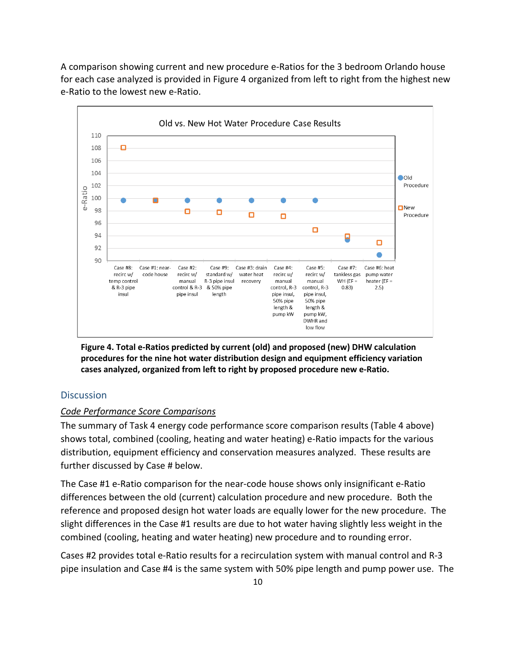A comparison showing current and new procedure e-Ratios for the 3 bedroom Orlando house for each case analyzed is provided in Figure 4 organized from left to right from the highest new e-Ratio to the lowest new e-Ratio.



**Figure 4. Total e-Ratios predicted by current (old) and proposed (new) DHW calculation procedures for the nine hot water distribution design and equipment efficiency variation cases analyzed, organized from left to right by proposed procedure new e-Ratio.** 

#### <span id="page-15-0"></span>**Discussion**

#### *Code Performance Score Comparisons*

The summary of Task 4 energy code performance score comparison results (Table 4 above) shows total, combined (cooling, heating and water heating) e-Ratio impacts for the various distribution, equipment efficiency and conservation measures analyzed. These results are further discussed by Case # below.

The Case #1 e-Ratio comparison for the near-code house shows only insignificant e-Ratio differences between the old (current) calculation procedure and new procedure. Both the reference and proposed design hot water loads are equally lower for the new procedure. The slight differences in the Case #1 results are due to hot water having slightly less weight in the combined (cooling, heating and water heating) new procedure and to rounding error.

Cases #2 provides total e-Ratio results for a recirculation system with manual control and R-3 pipe insulation and Case #4 is the same system with 50% pipe length and pump power use. The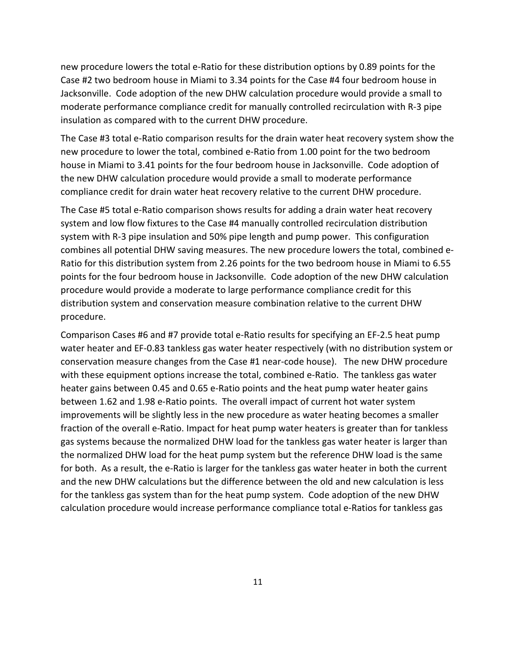new procedure lowers the total e-Ratio for these distribution options by 0.89 points for the Case #2 two bedroom house in Miami to 3.34 points for the Case #4 four bedroom house in Jacksonville. Code adoption of the new DHW calculation procedure would provide a small to moderate performance compliance credit for manually controlled recirculation with R-3 pipe insulation as compared with to the current DHW procedure.

The Case #3 total e-Ratio comparison results for the drain water heat recovery system show the new procedure to lower the total, combined e-Ratio from 1.00 point for the two bedroom house in Miami to 3.41 points for the four bedroom house in Jacksonville. Code adoption of the new DHW calculation procedure would provide a small to moderate performance compliance credit for drain water heat recovery relative to the current DHW procedure.

The Case #5 total e-Ratio comparison shows results for adding a drain water heat recovery system and low flow fixtures to the Case #4 manually controlled recirculation distribution system with R-3 pipe insulation and 50% pipe length and pump power. This configuration combines all potential DHW saving measures. The new procedure lowers the total, combined e-Ratio for this distribution system from 2.26 points for the two bedroom house in Miami to 6.55 points for the four bedroom house in Jacksonville. Code adoption of the new DHW calculation procedure would provide a moderate to large performance compliance credit for this distribution system and conservation measure combination relative to the current DHW procedure.

Comparison Cases #6 and #7 provide total e-Ratio results for specifying an EF-2.5 heat pump water heater and EF-0.83 tankless gas water heater respectively (with no distribution system or conservation measure changes from the Case #1 near-code house). The new DHW procedure with these equipment options increase the total, combined e-Ratio. The tankless gas water heater gains between 0.45 and 0.65 e-Ratio points and the heat pump water heater gains between 1.62 and 1.98 e-Ratio points. The overall impact of current hot water system improvements will be slightly less in the new procedure as water heating becomes a smaller fraction of the overall e-Ratio. Impact for heat pump water heaters is greater than for tankless gas systems because the normalized DHW load for the tankless gas water heater is larger than the normalized DHW load for the heat pump system but the reference DHW load is the same for both. As a result, the e-Ratio is larger for the tankless gas water heater in both the current and the new DHW calculations but the difference between the old and new calculation is less for the tankless gas system than for the heat pump system. Code adoption of the new DHW calculation procedure would increase performance compliance total e-Ratios for tankless gas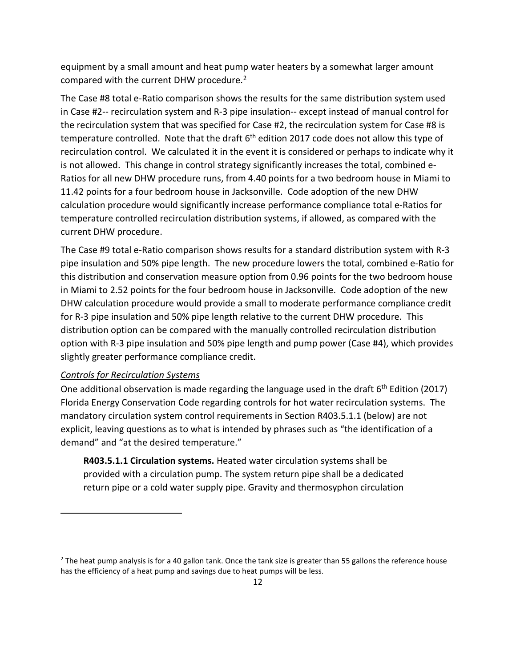equipment by a small amount and heat pump water heaters by a somewhat larger amount compared with the current DHW procedure. [2](#page-17-0) 

The Case #8 total e-Ratio comparison shows the results for the same distribution system used in Case #2-- recirculation system and R-3 pipe insulation-- except instead of manual control for the recirculation system that was specified for Case #2, the recirculation system for Case #8 is temperature controlled. Note that the draft  $6<sup>th</sup>$  edition 2017 code does not allow this type of recirculation control. We calculated it in the event it is considered or perhaps to indicate why it is not allowed. This change in control strategy significantly increases the total, combined e-Ratios for all new DHW procedure runs, from 4.40 points for a two bedroom house in Miami to 11.42 points for a four bedroom house in Jacksonville. Code adoption of the new DHW calculation procedure would significantly increase performance compliance total e-Ratios for temperature controlled recirculation distribution systems, if allowed, as compared with the current DHW procedure.

The Case #9 total e-Ratio comparison shows results for a standard distribution system with R-3 pipe insulation and 50% pipe length. The new procedure lowers the total, combined e-Ratio for this distribution and conservation measure option from 0.96 points for the two bedroom house in Miami to 2.52 points for the four bedroom house in Jacksonville. Code adoption of the new DHW calculation procedure would provide a small to moderate performance compliance credit for R-3 pipe insulation and 50% pipe length relative to the current DHW procedure. This distribution option can be compared with the manually controlled recirculation distribution option with R-3 pipe insulation and 50% pipe length and pump power (Case #4), which provides slightly greater performance compliance credit.

#### *Controls for Recirculation Systems*

 $\overline{a}$ 

One additional observation is made regarding the language used in the draft 6<sup>th</sup> Edition (2017) Florida Energy Conservation Code regarding controls for hot water recirculation systems. The mandatory circulation system control requirements in Section R403.5.1.1 (below) are not explicit, leaving questions as to what is intended by phrases such as "the identification of a demand" and "at the desired temperature."

**R403.5.1.1 Circulation systems.** Heated water circulation systems shall be provided with a circulation pump. The system return pipe shall be a dedicated return pipe or a cold water supply pipe. Gravity and thermosyphon circulation

<span id="page-17-0"></span> $2$  The heat pump analysis is for a 40 gallon tank. Once the tank size is greater than 55 gallons the reference house has the efficiency of a heat pump and savings due to heat pumps will be less.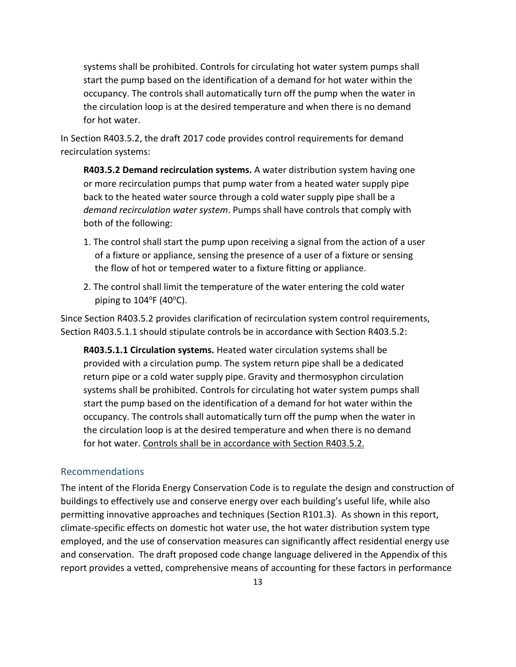systems shall be prohibited. Controls for circulating hot water system pumps shall start the pump based on the identification of a demand for hot water within the occupancy. The controls shall automatically turn off the pump when the water in the circulation loop is at the desired temperature and when there is no demand for hot water.

In Section R403.5.2, the draft 2017 code provides control requirements for demand recirculation systems:

**R403.5.2 Demand recirculation systems.** A water distribution system having one or more recirculation pumps that pump water from a heated water supply pipe back to the heated water source through a cold water supply pipe shall be a *demand recirculation water system*. Pumps shall have controls that comply with both of the following:

- 1. The control shall start the pump upon receiving a signal from the action of a user of a fixture or appliance, sensing the presence of a user of a fixture or sensing the flow of hot or tempered water to a fixture fitting or appliance.
- 2. The control shall limit the temperature of the water entering the cold water piping to  $104^{\circ}$ F (40 $^{\circ}$ C).

Since Section R403.5.2 provides clarification of recirculation system control requirements, Section R403.5.1.1 should stipulate controls be in accordance with Section R403.5.2:

**R403.5.1.1 Circulation systems.** Heated water circulation systems shall be provided with a circulation pump. The system return pipe shall be a dedicated return pipe or a cold water supply pipe. Gravity and thermosyphon circulation systems shall be prohibited. Controls for circulating hot water system pumps shall start the pump based on the identification of a demand for hot water within the occupancy. The controls shall automatically turn off the pump when the water in the circulation loop is at the desired temperature and when there is no demand for hot water. Controls shall be in accordance with Section R403.5.2.

#### <span id="page-18-0"></span>Recommendations

The intent of the Florida Energy Conservation Code is to regulate the design and construction of buildings to effectively use and conserve energy over each building's useful life, while also permitting innovative approaches and techniques (Section R101.3). As shown in this report, climate-specific effects on domestic hot water use, the hot water distribution system type employed, and the use of conservation measures can significantly affect residential energy use and conservation. The draft proposed code change language delivered in the Appendix of this report provides a vetted, comprehensive means of accounting for these factors in performance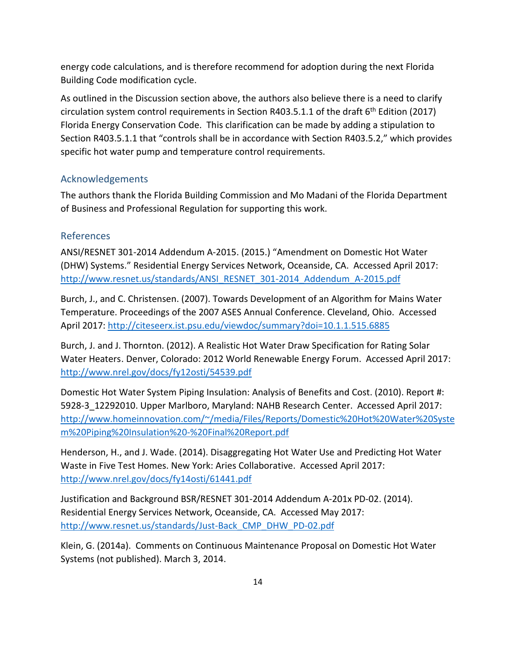energy code calculations, and is therefore recommend for adoption during the next Florida Building Code modification cycle.

As outlined in the Discussion section above, the authors also believe there is a need to clarify circulation system control requirements in Section R403.5.1.1 of the draft  $6<sup>th</sup>$  Edition (2017) Florida Energy Conservation Code. This clarification can be made by adding a stipulation to Section R403.5.1.1 that "controls shall be in accordance with Section R403.5.2," which provides specific hot water pump and temperature control requirements.

# <span id="page-19-0"></span>Acknowledgements

The authors thank the Florida Building Commission and Mo Madani of the Florida Department of Business and Professional Regulation for supporting this work.

# <span id="page-19-1"></span>References

ANSI/RESNET 301-2014 Addendum A-2015. (2015.) "Amendment on Domestic Hot Water (DHW) Systems." Residential Energy Services Network, Oceanside, CA. Accessed April 2017: [http://www.resnet.us/standards/ANSI\\_RESNET\\_301-2014\\_Addendum\\_A-2015.pdf](http://www.resnet.us/standards/ANSI_RESNET_301-2014_Addendum_A-2015.pdf)

Burch, J., and C. Christensen. (2007). Towards Development of an Algorithm for Mains Water Temperature. Proceedings of the 2007 ASES Annual Conference. Cleveland, Ohio. Accessed April 2017:<http://citeseerx.ist.psu.edu/viewdoc/summary?doi=10.1.1.515.6885>

Burch, J. and J. Thornton. (2012). A Realistic Hot Water Draw Specification for Rating Solar Water Heaters. Denver, Colorado: 2012 World Renewable Energy Forum. Accessed April 2017: <http://www.nrel.gov/docs/fy12osti/54539.pdf>

Domestic Hot Water System Piping Insulation: Analysis of Benefits and Cost. (2010). Report #: 5928-3\_12292010. Upper Marlboro, Maryland: NAHB Research Center. Accessed April 2017: [http://www.homeinnovation.com/~/media/Files/Reports/Domestic%20Hot%20Water%20Syste](http://www.homeinnovation.com/%7E/media/Files/Reports/Domestic%20Hot%20Water%20System%20Piping%20Insulation%20-%20Final%20Report.pdf) [m%20Piping%20Insulation%20-%20Final%20Report.pdf](http://www.homeinnovation.com/%7E/media/Files/Reports/Domestic%20Hot%20Water%20System%20Piping%20Insulation%20-%20Final%20Report.pdf)

Henderson, H., and J. Wade. (2014). Disaggregating Hot Water Use and Predicting Hot Water Waste in Five Test Homes. New York: Aries Collaborative. Accessed April 2017: <http://www.nrel.gov/docs/fy14osti/61441.pdf>

Justification and Background BSR/RESNET 301-2014 Addendum A-201x PD-02. (2014). Residential Energy Services Network, Oceanside, CA. Accessed May 2017: [http://www.resnet.us/standards/Just-Back\\_CMP\\_DHW\\_PD-02.pdf](http://www.resnet.us/standards/Just-Back_CMP_DHW_PD-02.pdf)

Klein, G. (2014a). Comments on Continuous Maintenance Proposal on Domestic Hot Water Systems (not published). March 3, 2014.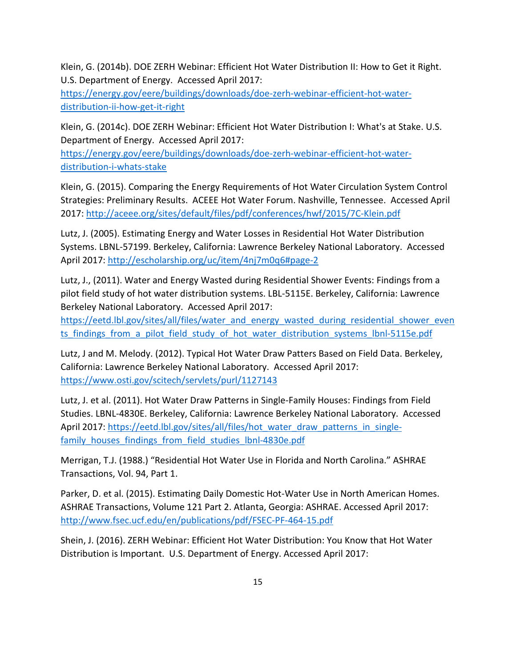Klein, G. (2014b). DOE ZERH Webinar: Efficient Hot Water Distribution II: How to Get it Right. U.S. Department of Energy. Accessed April 2017:

[https://energy.gov/eere/buildings/downloads/doe-zerh-webinar-efficient-hot-water](https://energy.gov/eere/buildings/downloads/doe-zerh-webinar-efficient-hot-water-distribution-ii-how-get-it-right)[distribution-ii-how-get-it-right](https://energy.gov/eere/buildings/downloads/doe-zerh-webinar-efficient-hot-water-distribution-ii-how-get-it-right)

Klein, G. (2014c). DOE ZERH Webinar: Efficient Hot Water Distribution I: What's at Stake. U.S. Department of Energy. Accessed April 2017:

[https://energy.gov/eere/buildings/downloads/doe-zerh-webinar-efficient-hot-water](https://energy.gov/eere/buildings/downloads/doe-zerh-webinar-efficient-hot-water-distribution-i-whats-stake)[distribution-i-whats-stake](https://energy.gov/eere/buildings/downloads/doe-zerh-webinar-efficient-hot-water-distribution-i-whats-stake)

Klein, G. (2015). Comparing the Energy Requirements of Hot Water Circulation System Control Strategies: Preliminary Results. ACEEE Hot Water Forum. Nashville, Tennessee. Accessed April 2017:<http://aceee.org/sites/default/files/pdf/conferences/hwf/2015/7C-Klein.pdf>

Lutz, J. (2005). Estimating Energy and Water Losses in Residential Hot Water Distribution Systems. LBNL-57199. Berkeley, California: Lawrence Berkeley National Laboratory. Accessed April 2017:<http://escholarship.org/uc/item/4nj7m0q6#page-2>

Lutz, J., (2011). Water and Energy Wasted during Residential Shower Events: Findings from a pilot field study of hot water distribution systems. LBL-5115E. Berkeley, California: Lawrence Berkeley National Laboratory. Accessed April 2017:

[https://eetd.lbl.gov/sites/all/files/water\\_and\\_energy\\_wasted\\_during\\_residential\\_shower\\_even](https://eetd.lbl.gov/sites/all/files/water_and_energy_wasted_during_residential_shower_events_findings_from_a_pilot_field_study_of_hot_water_distribution_systems_lbnl-5115e.pdf) ts findings from a pilot field study of hot water distribution systems lbnl-5115e.pdf

Lutz, J and M. Melody. (2012). Typical Hot Water Draw Patters Based on Field Data. Berkeley, California: Lawrence Berkeley National Laboratory. Accessed April 2017: <https://www.osti.gov/scitech/servlets/purl/1127143>

Lutz, J. et al. (2011). Hot Water Draw Patterns in Single-Family Houses: Findings from Field Studies. LBNL-4830E. Berkeley, California: Lawrence Berkeley National Laboratory. Accessed April 2017: [https://eetd.lbl.gov/sites/all/files/hot\\_water\\_draw\\_patterns\\_in\\_single](https://eetd.lbl.gov/sites/all/files/hot_water_draw_patterns_in_single-family_houses_findings_from_field_studies_lbnl-4830e.pdf)[family\\_houses\\_findings\\_from\\_field\\_studies\\_lbnl-4830e.pdf](https://eetd.lbl.gov/sites/all/files/hot_water_draw_patterns_in_single-family_houses_findings_from_field_studies_lbnl-4830e.pdf)

Merrigan, T.J. (1988.) "Residential Hot Water Use in Florida and North Carolina." ASHRAE Transactions, Vol. 94, Part 1.

Parker, D. et al. (2015). Estimating Daily Domestic Hot-Water Use in North American Homes. ASHRAE Transactions, Volume 121 Part 2. Atlanta, Georgia: ASHRAE. Accessed April 2017: <http://www.fsec.ucf.edu/en/publications/pdf/FSEC-PF-464-15.pdf>

Shein, J. (2016). ZERH Webinar: Efficient Hot Water Distribution: You Know that Hot Water Distribution is Important. U.S. Department of Energy. Accessed April 2017: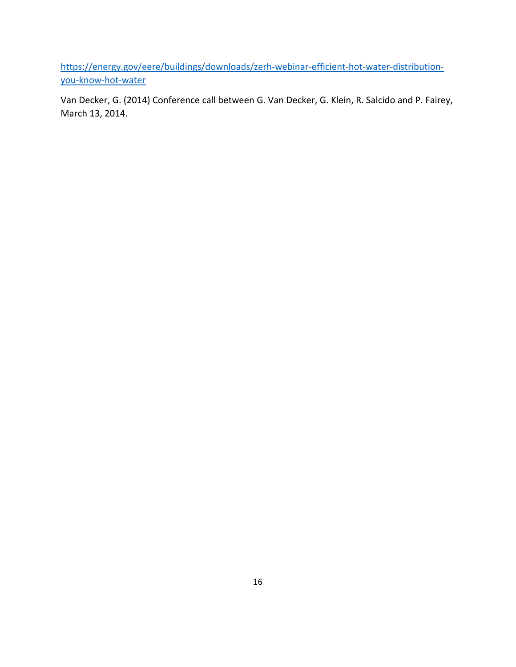[https://energy.gov/eere/buildings/downloads/zerh-webinar-efficient-hot-water-distribution](https://energy.gov/eere/buildings/downloads/zerh-webinar-efficient-hot-water-distribution-you-know-hot-water)[you-know-hot-water](https://energy.gov/eere/buildings/downloads/zerh-webinar-efficient-hot-water-distribution-you-know-hot-water)

Van Decker, G. (2014) Conference call between G. Van Decker, G. Klein, R. Salcido and P. Fairey, March 13, 2014.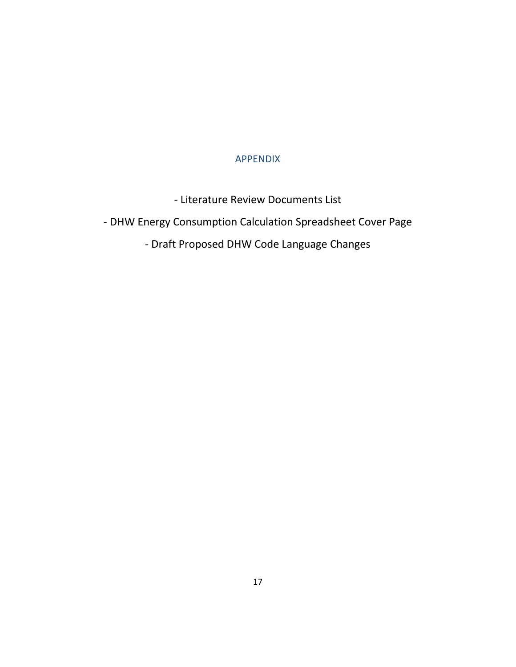# APPENDIX

- Literature Review Documents List

<span id="page-22-0"></span>- DHW Energy Consumption Calculation Spreadsheet Cover Page

- Draft Proposed DHW Code Language Changes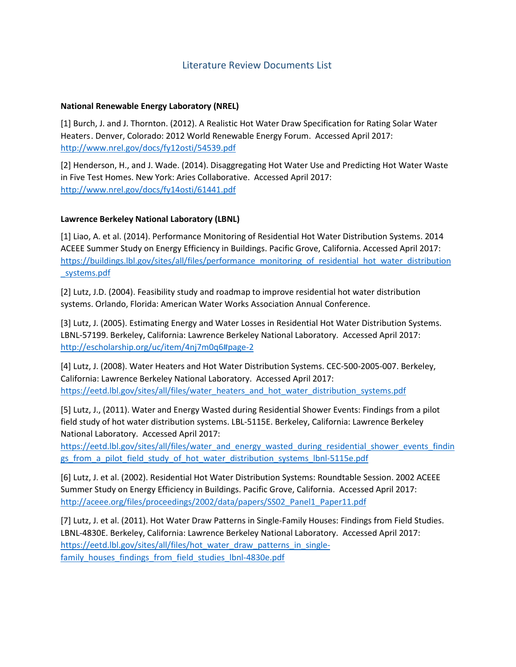## Literature Review Documents List

#### **National Renewable Energy Laboratory (NREL)**

[1] Burch, J. and J. Thornton. (2012). A Realistic Hot Water Draw Specification for Rating Solar Water Heaters. Denver, Colorado: 2012 World Renewable Energy Forum. Accessed April 2017: <http://www.nrel.gov/docs/fy12osti/54539.pdf>

[2] Henderson, H., and J. Wade. (2014). Disaggregating Hot Water Use and Predicting Hot Water Waste in Five Test Homes. New York: Aries Collaborative. Accessed April 2017: <http://www.nrel.gov/docs/fy14osti/61441.pdf>

#### **Lawrence Berkeley National Laboratory (LBNL)**

[1] Liao, A. et al. (2014). Performance Monitoring of Residential Hot Water Distribution Systems. 2014 ACEEE Summer Study on Energy Efficiency in Buildings. Pacific Grove, California. Accessed April 2017: [https://buildings.lbl.gov/sites/all/files/performance\\_monitoring\\_of\\_residential\\_hot\\_water\\_distribution](https://buildings.lbl.gov/sites/all/files/performance_monitoring_of_residential_hot_water_distribution_systems.pdf) [\\_systems.pdf](https://buildings.lbl.gov/sites/all/files/performance_monitoring_of_residential_hot_water_distribution_systems.pdf) 

[2] Lutz, J.D. (2004). Feasibility study and roadmap to improve residential hot water distribution systems. Orlando, Florida: American Water Works Association Annual Conference.

[3] Lutz, J. (2005). Estimating Energy and Water Losses in Residential Hot Water Distribution Systems. LBNL-57199. Berkeley, California: Lawrence Berkeley National Laboratory. Accessed April 2017: <http://escholarship.org/uc/item/4nj7m0q6#page-2>

[4] Lutz, J. (2008). Water Heaters and Hot Water Distribution Systems. CEC-500-2005-007. Berkeley, California: Lawrence Berkeley National Laboratory. Accessed April 2017: https://eetd.lbl.gov/sites/all/files/water\_heaters\_and\_hot\_water\_distribution\_systems.pdf

[5] Lutz, J., (2011). Water and Energy Wasted during Residential Shower Events: Findings from a pilot field study of hot water distribution systems. LBL-5115E. Berkeley, California: Lawrence Berkeley National Laboratory. Accessed April 2017:

[https://eetd.lbl.gov/sites/all/files/water\\_and\\_energy\\_wasted\\_during\\_residential\\_shower\\_events\\_findin](https://eetd.lbl.gov/sites/all/files/water_and_energy_wasted_during_residential_shower_events_findings_from_a_pilot_field_study_of_hot_water_distribution_systems_lbnl-5115e.pdf) gs\_from\_a\_pilot\_field\_study\_of\_hot\_water\_distribution\_systems\_lbnl-5115e.pdf

[6] Lutz, J. et al. (2002). Residential Hot Water Distribution Systems: Roundtable Session. 2002 ACEEE Summer Study on Energy Efficiency in Buildings. Pacific Grove, California. Accessed April 2017: [http://aceee.org/files/proceedings/2002/data/papers/SS02\\_Panel1\\_Paper11.pdf](http://aceee.org/files/proceedings/2002/data/papers/SS02_Panel1_Paper11.pdf)

[7] Lutz, J. et al. (2011). Hot Water Draw Patterns in Single-Family Houses: Findings from Field Studies. LBNL-4830E. Berkeley, California: Lawrence Berkeley National Laboratory. Accessed April 2017: [https://eetd.lbl.gov/sites/all/files/hot\\_water\\_draw\\_patterns\\_in\\_single](https://eetd.lbl.gov/sites/all/files/hot_water_draw_patterns_in_single-family_houses_findings_from_field_studies_lbnl-4830e.pdf)family\_houses\_findings\_from\_field\_studies\_lbnl-4830e.pdf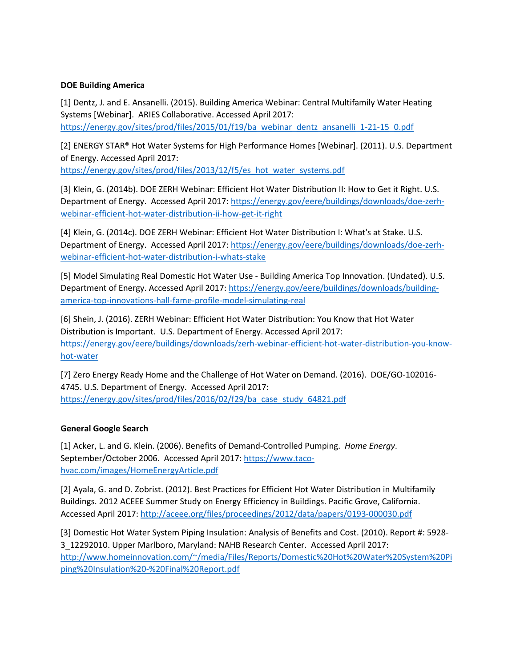#### **DOE Building America**

[1] Dentz, J. and E. Ansanelli. (2015). Building America Webinar: Central Multifamily Water Heating Systems [Webinar]. ARIES Collaborative. Accessed April 2017: [https://energy.gov/sites/prod/files/2015/01/f19/ba\\_webinar\\_dentz\\_ansanelli\\_1-21-15\\_0.pdf](https://energy.gov/sites/prod/files/2015/01/f19/ba_webinar_dentz_ansanelli_1-21-15_0.pdf)

[2] ENERGY STAR® Hot Water Systems for High Performance Homes [Webinar]. (2011). U.S. Department of Energy. Accessed April 2017: [https://energy.gov/sites/prod/files/2013/12/f5/es\\_hot\\_water\\_systems.pdf](https://energy.gov/sites/prod/files/2013/12/f5/es_hot_water_systems.pdf)

[3] Klein, G. (2014b). DOE ZERH Webinar: Efficient Hot Water Distribution II: How to Get it Right. U.S. Department of Energy. Accessed April 2017: [https://energy.gov/eere/buildings/downloads/doe-zerh](https://energy.gov/eere/buildings/downloads/doe-zerh-webinar-efficient-hot-water-distribution-ii-how-get-it-right)[webinar-efficient-hot-water-distribution-ii-how-get-it-right](https://energy.gov/eere/buildings/downloads/doe-zerh-webinar-efficient-hot-water-distribution-ii-how-get-it-right)

[4] Klein, G. (2014c). DOE ZERH Webinar: Efficient Hot Water Distribution I: What's at Stake. U.S. Department of Energy. Accessed April 2017: [https://energy.gov/eere/buildings/downloads/doe-zerh](https://energy.gov/eere/buildings/downloads/doe-zerh-webinar-efficient-hot-water-distribution-i-whats-stake)[webinar-efficient-hot-water-distribution-i-whats-stake](https://energy.gov/eere/buildings/downloads/doe-zerh-webinar-efficient-hot-water-distribution-i-whats-stake)

[5] Model Simulating Real Domestic Hot Water Use - Building America Top Innovation. (Undated). U.S. Department of Energy. Accessed April 2017: [https://energy.gov/eere/buildings/downloads/building](https://energy.gov/eere/buildings/downloads/building-america-top-innovations-hall-fame-profile-model-simulating-real)[america-top-innovations-hall-fame-profile-model-simulating-real](https://energy.gov/eere/buildings/downloads/building-america-top-innovations-hall-fame-profile-model-simulating-real)

[6] Shein, J. (2016). ZERH Webinar: Efficient Hot Water Distribution: You Know that Hot Water Distribution is Important. U.S. Department of Energy. Accessed April 2017: [https://energy.gov/eere/buildings/downloads/zerh-webinar-efficient-hot-water-distribution-you-know](https://energy.gov/eere/buildings/downloads/zerh-webinar-efficient-hot-water-distribution-you-know-hot-water)[hot-water](https://energy.gov/eere/buildings/downloads/zerh-webinar-efficient-hot-water-distribution-you-know-hot-water)

[7] Zero Energy Ready Home and the Challenge of Hot Water on Demand. (2016). DOE/GO-102016- 4745. U.S. Department of Energy. Accessed April 2017: [https://energy.gov/sites/prod/files/2016/02/f29/ba\\_case\\_study\\_64821.pdf](https://energy.gov/sites/prod/files/2016/02/f29/ba_case_study_64821.pdf)

### **General Google Search**

[1] Acker, L. and G. Klein. (2006). Benefits of Demand-Controlled Pumping. *Home Energy*. September/October 2006. Accessed April 2017: [https://www.taco](https://www.taco-hvac.com/images/HomeEnergyArticle.pdf)[hvac.com/images/HomeEnergyArticle.pdf](https://www.taco-hvac.com/images/HomeEnergyArticle.pdf)

[2] Ayala, G. and D. Zobrist. (2012). Best Practices for Efficient Hot Water Distribution in Multifamily Buildings. 2012 ACEEE Summer Study on Energy Efficiency in Buildings. Pacific Grove, California. Accessed April 2017[: http://aceee.org/files/proceedings/2012/data/papers/0193-000030.pdf](http://aceee.org/files/proceedings/2012/data/papers/0193-000030.pdf)

[3] Domestic Hot Water System Piping Insulation: Analysis of Benefits and Cost. (2010). Report #: 5928- 3\_12292010. Upper Marlboro, Maryland: NAHB Research Center. Accessed April 2017: [http://www.homeinnovation.com/~/media/Files/Reports/Domestic%20Hot%20Water%20System%20Pi](http://www.homeinnovation.com/%7E/media/Files/Reports/Domestic%20Hot%20Water%20System%20Piping%20Insulation%20-%20Final%20Report.pdf) [ping%20Insulation%20-%20Final%20Report.pdf](http://www.homeinnovation.com/%7E/media/Files/Reports/Domestic%20Hot%20Water%20System%20Piping%20Insulation%20-%20Final%20Report.pdf)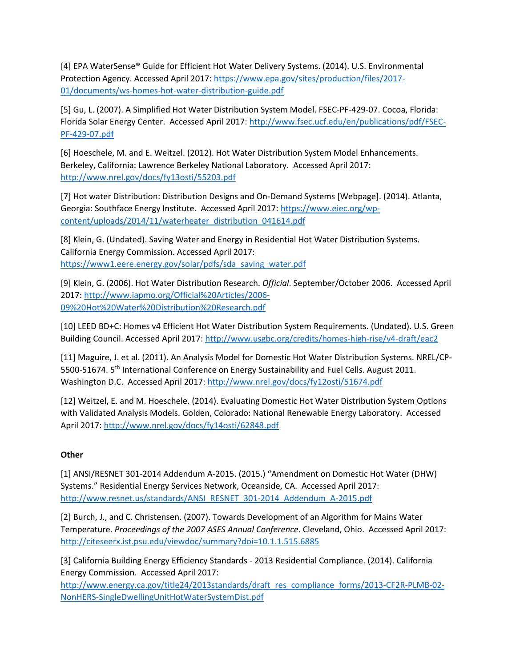[4] EPA WaterSense® Guide for Efficient Hot Water Delivery Systems. (2014). U.S. Environmental Protection Agency. Accessed April 2017: [https://www.epa.gov/sites/production/files/2017-](https://www.epa.gov/sites/production/files/2017-01/documents/ws-homes-hot-water-distribution-guide.pdf) [01/documents/ws-homes-hot-water-distribution-guide.pdf](https://www.epa.gov/sites/production/files/2017-01/documents/ws-homes-hot-water-distribution-guide.pdf)

[5] Gu, L. (2007). A Simplified Hot Water Distribution System Model. FSEC-PF-429-07. Cocoa, Florida: Florida Solar Energy Center. Accessed April 2017: [http://www.fsec.ucf.edu/en/publications/pdf/FSEC-](http://www.fsec.ucf.edu/en/publications/pdf/FSEC-PF-429-07.pdf)[PF-429-07.pdf](http://www.fsec.ucf.edu/en/publications/pdf/FSEC-PF-429-07.pdf)

[6] Hoeschele, M. and E. Weitzel. (2012). Hot Water Distribution System Model Enhancements. Berkeley, California: Lawrence Berkeley National Laboratory. Accessed April 2017: <http://www.nrel.gov/docs/fy13osti/55203.pdf>

[7] Hot water Distribution: Distribution Designs and On-Demand Systems [Webpage]. (2014). Atlanta, Georgia: Southface Energy Institute. Accessed April 2017: [https://www.eiec.org/wp](https://www.eiec.org/wp-content/uploads/2014/11/waterheater_distribution_041614.pdf)[content/uploads/2014/11/waterheater\\_distribution\\_041614.pdf](https://www.eiec.org/wp-content/uploads/2014/11/waterheater_distribution_041614.pdf)

[8] Klein, G. (Undated). Saving Water and Energy in Residential Hot Water Distribution Systems. California Energy Commission. Accessed April 2017: [https://www1.eere.energy.gov/solar/pdfs/sda\\_saving\\_water.pdf](https://www1.eere.energy.gov/solar/pdfs/sda_saving_water.pdf)

[9] Klein, G. (2006). Hot Water Distribution Research. *Official*. September/October 2006. Accessed April 2017[: http://www.iapmo.org/Official%20Articles/2006-](http://www.iapmo.org/Official%20Articles/2006-09%20Hot%20Water%20Distribution%20Research.pdf) [09%20Hot%20Water%20Distribution%20Research.pdf](http://www.iapmo.org/Official%20Articles/2006-09%20Hot%20Water%20Distribution%20Research.pdf)

[10] LEED BD+C: Homes v4 Efficient Hot Water Distribution System Requirements. (Undated). U.S. Green Building Council. Accessed April 2017[: http://www.usgbc.org/credits/homes-high-rise/v4-draft/eac2](http://www.usgbc.org/credits/homes-high-rise/v4-draft/eac2)

[11] Maguire, J. et al. (2011). An Analysis Model for Domestic Hot Water Distribution Systems. NREL/CP-5500-51674. 5<sup>th</sup> International Conference on Energy Sustainability and Fuel Cells. August 2011. Washington D.C. Accessed April 2017:<http://www.nrel.gov/docs/fy12osti/51674.pdf>

[12] Weitzel, E. and M. Hoeschele. (2014). Evaluating Domestic Hot Water Distribution System Options with Validated Analysis Models. Golden, Colorado: National Renewable Energy Laboratory. Accessed April 2017:<http://www.nrel.gov/docs/fy14osti/62848.pdf>

### **Other**

[1] ANSI/RESNET 301-2014 Addendum A-2015. (2015.) "Amendment on Domestic Hot Water (DHW) Systems." Residential Energy Services Network, Oceanside, CA. Accessed April 2017: [http://www.resnet.us/standards/ANSI\\_RESNET\\_301-2014\\_Addendum\\_A-2015.pdf](http://www.resnet.us/standards/ANSI_RESNET_301-2014_Addendum_A-2015.pdf)

[2] Burch, J., and C. Christensen. (2007). Towards Development of an Algorithm for Mains Water Temperature. *Proceedings of the 2007 ASES Annual Conference*. Cleveland, Ohio. Accessed April 2017: <http://citeseerx.ist.psu.edu/viewdoc/summary?doi=10.1.1.515.6885>

[3] California Building Energy Efficiency Standards - 2013 Residential Compliance. (2014). California Energy Commission. Accessed April 2017:

[http://www.energy.ca.gov/title24/2013standards/draft\\_res\\_compliance\\_forms/2013-CF2R-PLMB-02-](http://www.energy.ca.gov/title24/2013standards/draft_res_compliance_forms/2013-CF2R-PLMB-02-NonHERS-SingleDwellingUnitHotWaterSystemDist.pdf) [NonHERS-SingleDwellingUnitHotWaterSystemDist.pdf](http://www.energy.ca.gov/title24/2013standards/draft_res_compliance_forms/2013-CF2R-PLMB-02-NonHERS-SingleDwellingUnitHotWaterSystemDist.pdf)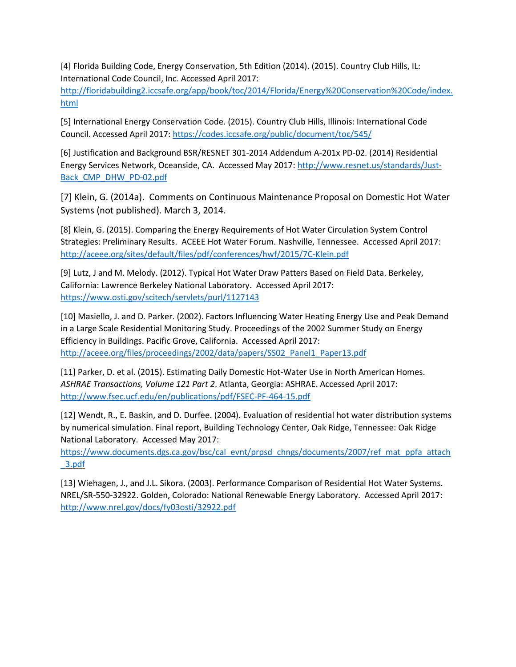[4] Florida Building Code, Energy Conservation, 5th Edition (2014). (2015). Country Club Hills, IL: International Code Council, Inc. Accessed April 2017:

[http://floridabuilding2.iccsafe.org/app/book/toc/2014/Florida/Energy%20Conservation%20Code/index.](http://floridabuilding2.iccsafe.org/app/book/toc/2014/Florida/Energy%20Conservation%20Code/index.html) [html](http://floridabuilding2.iccsafe.org/app/book/toc/2014/Florida/Energy%20Conservation%20Code/index.html)

[5] International Energy Conservation Code. (2015). Country Club Hills, Illinois: International Code Council. Accessed April 2017:<https://codes.iccsafe.org/public/document/toc/545/>

[6] Justification and Background BSR/RESNET 301-2014 Addendum A-201x PD-02. (2014) Residential Energy Services Network, Oceanside, CA. Accessed May 2017: [http://www.resnet.us/standards/Just-](http://www.resnet.us/standards/Just-Back_CMP_DHW_PD-02.pdf)[Back\\_CMP\\_DHW\\_PD-02.pdf](http://www.resnet.us/standards/Just-Back_CMP_DHW_PD-02.pdf)

[7] Klein, G. (2014a). Comments on Continuous Maintenance Proposal on Domestic Hot Water Systems (not published). March 3, 2014.

[8] Klein, G. (2015). Comparing the Energy Requirements of Hot Water Circulation System Control Strategies: Preliminary Results. ACEEE Hot Water Forum. Nashville, Tennessee. Accessed April 2017: <http://aceee.org/sites/default/files/pdf/conferences/hwf/2015/7C-Klein.pdf>

[9] Lutz, J and M. Melody. (2012). Typical Hot Water Draw Patters Based on Field Data. Berkeley, California: Lawrence Berkeley National Laboratory. Accessed April 2017: <https://www.osti.gov/scitech/servlets/purl/1127143>

[10] Masiello, J. and D. Parker. (2002). Factors Influencing Water Heating Energy Use and Peak Demand in a Large Scale Residential Monitoring Study. Proceedings of the 2002 Summer Study on Energy Efficiency in Buildings. Pacific Grove, California. Accessed April 2017: [http://aceee.org/files/proceedings/2002/data/papers/SS02\\_Panel1\\_Paper13.pdf](http://aceee.org/files/proceedings/2002/data/papers/SS02_Panel1_Paper13.pdf)

[11] Parker, D. et al. (2015). Estimating Daily Domestic Hot-Water Use in North American Homes. *ASHRAE Transactions, Volume 121 Part 2*. Atlanta, Georgia: ASHRAE. Accessed April 2017: <http://www.fsec.ucf.edu/en/publications/pdf/FSEC-PF-464-15.pdf>

[12] Wendt, R., E. Baskin, and D. Durfee. (2004). Evaluation of residential hot water distribution systems by numerical simulation. Final report, Building Technology Center, Oak Ridge, Tennessee: Oak Ridge National Laboratory. Accessed May 2017:

[https://www.documents.dgs.ca.gov/bsc/cal\\_evnt/prpsd\\_chngs/documents/2007/ref\\_mat\\_ppfa\\_attach](https://www.documents.dgs.ca.gov/bsc/cal_evnt/prpsd_chngs/documents/2007/ref_mat_ppfa_attach_3.pdf) [\\_3.pdf](https://www.documents.dgs.ca.gov/bsc/cal_evnt/prpsd_chngs/documents/2007/ref_mat_ppfa_attach_3.pdf)

[13] Wiehagen, J., and J.L. Sikora. (2003). Performance Comparison of Residential Hot Water Systems. NREL/SR-550-32922. Golden, Colorado: National Renewable Energy Laboratory. Accessed April 2017: <http://www.nrel.gov/docs/fy03osti/32922.pdf>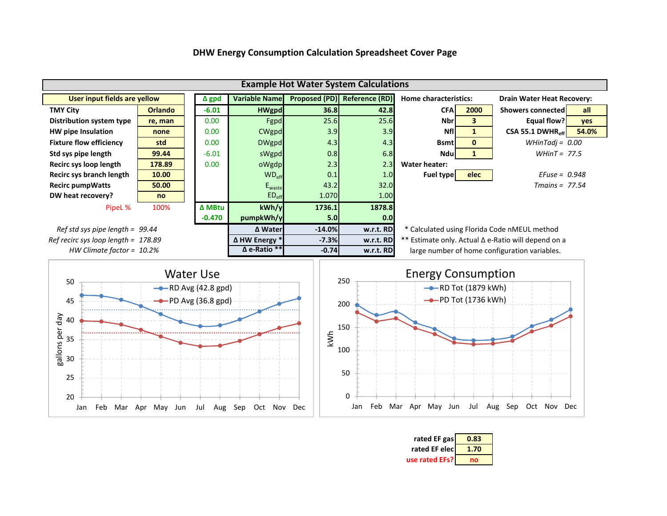

0

50

100

20

Jan Feb Mar Apr May Jun Jul Aug Sep Oct Nov Dec

25

30

#### **DHW Energy Consumption Calculation Spreadsheet Cover Page**

| rated EF gas   | 0.83 |
|----------------|------|
| rated EF elec  | 1.70 |
| use rated EFs? | nn   |

Jan Feb Mar Apr May Jun Jul Aug Sep Oct Nov Dec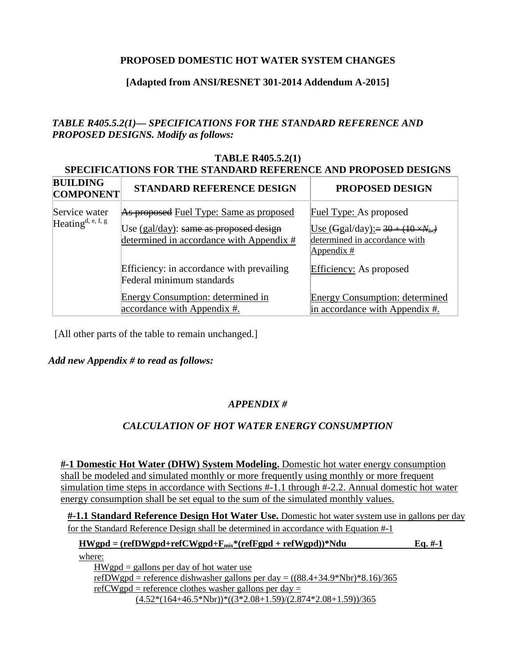# **PROPOSED DOMESTIC HOT WATER SYSTEM CHANGES**

# **[Adapted from ANSI/RESNET 301-2014 Addendum A-2015]**

# *TABLE R405.5.2(1)— SPECIFICATIONS FOR THE STANDARD REFERENCE AND PROPOSED DESIGNS. Modify as follows:*

## **TABLE R405.5.2(1) SPECIFICATIONS FOR THE STANDARD REFERENCE AND PROPOSED DESIGNS**

| <b>BUILDING</b><br><b>COMPONENT</b>   | <b>STANDARD REFERENCE DESIGN</b>                                                                                              | <b>PROPOSED DESIGN</b>                                                                                                             |
|---------------------------------------|-------------------------------------------------------------------------------------------------------------------------------|------------------------------------------------------------------------------------------------------------------------------------|
| Service water<br>Heating $d, e, f, g$ | As proposed Fuel Type: Same as proposed<br>Use (gal/day): same as proposed design<br>determined in accordance with Appendix # | <b>Fuel Type:</b> As proposed<br>Use $(\text{Ggal/day}) := 30 + (10 \times N_{br})$<br>determined in accordance with<br>Appendix # |
|                                       | Efficiency: in accordance with prevailing<br>Federal minimum standards                                                        | Efficiency: As proposed                                                                                                            |
|                                       | Energy Consumption: determined in<br>accordance with Appendix #.                                                              | <b>Energy Consumption: determined</b><br>in accordance with Appendix #.                                                            |

[All other parts of the table to remain unchanged.]

*Add new Appendix # to read as follows:*

# *APPENDIX #*

# *CALCULATION OF HOT WATER ENERGY CONSUMPTION*

**#-1 Domestic Hot Water (DHW) System Modeling.** Domestic hot water energy consumption shall be modeled and simulated monthly or more frequently using monthly or more frequent simulation time steps in accordance with Sections #-1.1 through #-2.2. Annual domestic hot water energy consumption shall be set equal to the sum of the simulated monthly values.

**#-1.1 Standard Reference Design Hot Water Use.** Domestic hot water system use in gallons per day for the Standard Reference Design shall be determined in accordance with Equation #-1

### $HWgpd = (refDWgpd + refCWgpd + F<sub>mix</sub><sup>*</sup>(refFgpd + refWgpd))<sup>*</sup>Ndu$  **Eq. #-1**

where:

 $HWgpd =$  gallons per day of hot water use refDWgpd = reference dishwasher gallons per day =  $((88.4+34.9*Nbr)*8.16)/365$ refCWgpd = reference clothes washer gallons per day =  $(4.52*(164+46.5*Nbr))*((3*2.08+1.59)/(2.874*2.08+1.59))/365$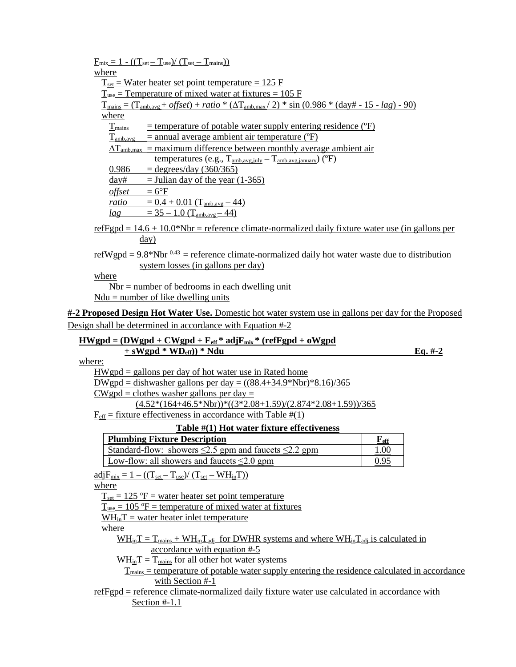| $F_{mix} = 1 - ((T_{set} - T_{use})/(T_{set} - T_{main}))$                                                                                      |                           |           |  |  |  |
|-------------------------------------------------------------------------------------------------------------------------------------------------|---------------------------|-----------|--|--|--|
| where                                                                                                                                           |                           |           |  |  |  |
| $T_{\text{set}}$ = Water heater set point temperature = 125 F                                                                                   |                           |           |  |  |  |
| $T_{use}$ = Temperature of mixed water at fixtures = 105 F                                                                                      |                           |           |  |  |  |
| $T_{\text{mains}} = (T_{\text{amb,avg}} + \text{offset}) + \text{ratio} * (\Delta T_{\text{amb,max}}/2) * \sin (0.986 * (day + 15 - lag) - 90)$ |                           |           |  |  |  |
| where                                                                                                                                           |                           |           |  |  |  |
| T <sub>mains</sub><br>$=$ temperature of potable water supply entering residence ( $\mathrm{P}$ )                                               |                           |           |  |  |  |
| $T_{amb, avg}$ = annual average ambient air temperature ( ${}^{\circ}$ F)                                                                       |                           |           |  |  |  |
| $\Delta T_{amb,max}$ = maximum difference between monthly average ambient air                                                                   |                           |           |  |  |  |
| temperatures (e.g., $T_{amb,avg,iuly} - T_{amb,avg,ianuary}$ ) ( ${}^{\circ}F$ )                                                                |                           |           |  |  |  |
| 0.986<br>$=$ degrees/day (360/365)                                                                                                              |                           |           |  |  |  |
| day#<br>$=$ Julian day of the year (1-365)                                                                                                      |                           |           |  |  |  |
| offset<br>$=6^{\circ}F$                                                                                                                         |                           |           |  |  |  |
| <u>ratio = <math>0.4 + 0.01</math> (T<sub>amb,avg</sub> – 44)</u>                                                                               |                           |           |  |  |  |
| $=$ 35 - 1.0 (T <sub>amb.avg</sub> - 44)<br>lag                                                                                                 |                           |           |  |  |  |
| refFgpd = $14.6 + 10.0*$ Nbr = reference climate-normalized daily fixture water use (in gallons per                                             |                           |           |  |  |  |
| $\frac{day}{x}$                                                                                                                                 |                           |           |  |  |  |
| <u>refWgpd = 9.8*Nbr <math>0.43</math> = reference climate-normalized daily hot water waste due to distribution</u>                             |                           |           |  |  |  |
| system losses (in gallons per day)                                                                                                              |                           |           |  |  |  |
| where                                                                                                                                           |                           |           |  |  |  |
| $Nbr = number of bedrooms in each dwelling unit$                                                                                                |                           |           |  |  |  |
| $Ndu = number of like dwelling units$                                                                                                           |                           |           |  |  |  |
| 4-2 Proposed Design Hot Water Use. Domestic hot water system use in gallons per day for the Proposed                                            |                           |           |  |  |  |
|                                                                                                                                                 |                           |           |  |  |  |
| Design shall be determined in accordance with Equation #-2                                                                                      |                           |           |  |  |  |
|                                                                                                                                                 |                           |           |  |  |  |
| $HWgpd = (DWgpd + CWgpd + F_{eff} * adjF_{mix} * (refFgpd + oWgpd$                                                                              |                           |           |  |  |  |
| $+$ sWgpd * WD <sub>eff</sub> )) * Ndu                                                                                                          |                           | $Eq. #-2$ |  |  |  |
| where:                                                                                                                                          |                           |           |  |  |  |
| $HWgpd =$ gallons per day of hot water use in Rated home                                                                                        |                           |           |  |  |  |
| <u>DWgpd</u> = dishwasher gallons per day = $((88.4 + 34.9 * Nbr)*8.16)/365$                                                                    |                           |           |  |  |  |
| $CW$ gpd = clothes washer gallons per day =                                                                                                     |                           |           |  |  |  |
| $(4.52*(164+46.5*Nbr))*((3*2.08+1.59)/(2.874*2.08+1.59))/365$                                                                                   |                           |           |  |  |  |
| $F_{\text{eff}}$ = fixture effectiveness in accordance with Table #(1)                                                                          |                           |           |  |  |  |
| Table #(1) Hot water fixture effectiveness                                                                                                      |                           |           |  |  |  |
| <b>Plumbing Fixture Description</b>                                                                                                             | $\mathbf{F}_{\text{eff}}$ |           |  |  |  |
| <u>Standard-flow: showers <math>\leq</math>2.5 gpm and faucets <math>\leq</math>2.2 gpm</u>                                                     | 1.00                      |           |  |  |  |
| Low-flow: all showers and faucets $\leq 2.0$ gpm                                                                                                | 0.95                      |           |  |  |  |
| $\underline{\text{adj}}_{\text{mix}} = 1 - ((T_{\text{set}} - T_{\text{use}}) / (T_{\text{set}} - WH_{\text{in}}T))$                            |                           |           |  |  |  |
| where                                                                                                                                           |                           |           |  |  |  |
| $T_{\text{set}} = 125$ °F = water heater set point temperature                                                                                  |                           |           |  |  |  |
| $T_{use} = 105$ °F = temperature of mixed water at fixtures                                                                                     |                           |           |  |  |  |
| $WH_{in}T$ = water heater inlet temperature                                                                                                     |                           |           |  |  |  |
| where                                                                                                                                           |                           |           |  |  |  |
| $WH_{in}T = T_{mains} + WH_{in}T_{adi}$ for DWHR systems and where $WH_{in}T_{adi}$ is calculated in                                            |                           |           |  |  |  |
| accordance with equation #-5                                                                                                                    |                           |           |  |  |  |
| $WH_{in}T = T_{mass}$ for all other hot water systems                                                                                           |                           |           |  |  |  |
| $T_{\text{mains}}$ = temperature of potable water supply entering the residence calculated in accordance                                        |                           |           |  |  |  |
| with Section #-1                                                                                                                                |                           |           |  |  |  |
| refFgpd = reference climate-normalized daily fixture water use calculated in accordance with<br>Section $#-1.1$                                 |                           |           |  |  |  |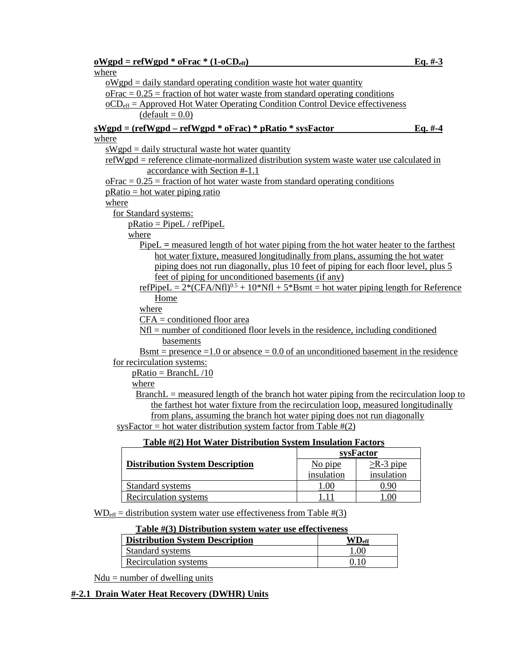| $\underline{\textbf{OW}}$ gpd = refWgpd * $\underline{\textbf{oFrac}}$ * $(1-\underline{\textbf{OCD}}_{\text{eff}})$ |            | $Eq. #-3$       |  |  |  |  |  |
|----------------------------------------------------------------------------------------------------------------------|------------|-----------------|--|--|--|--|--|
| where                                                                                                                |            |                 |  |  |  |  |  |
| $\omega$ oWgpd = daily standard operating condition waste hot water quantity                                         |            |                 |  |  |  |  |  |
| $\overline{p_{\text{frac}}}$ = 0.25 = fraction of hot water waste from standard operating conditions                 |            |                 |  |  |  |  |  |
| $\underline{OCD}_{eff}$ = Approved Hot Water Operating Condition Control Device effectiveness                        |            |                 |  |  |  |  |  |
| $(detault = 0.0)$                                                                                                    |            |                 |  |  |  |  |  |
| $sWgpd = (refWgpd - refWgpd * offrac)*pRatio * sysFactor$                                                            |            | $Eq.~#-4$       |  |  |  |  |  |
| where                                                                                                                |            |                 |  |  |  |  |  |
| $sWgpd =$ daily structural waste hot water quantity                                                                  |            |                 |  |  |  |  |  |
| refWgpd = reference climate-normalized distribution system waste water use calculated in                             |            |                 |  |  |  |  |  |
| accordance with Section #-1.1                                                                                        |            |                 |  |  |  |  |  |
| $\overline{p_{\text{frac}}}$ = 0.25 = fraction of hot water waste from standard operating conditions                 |            |                 |  |  |  |  |  |
| $pRatio = hot water piping ratio$                                                                                    |            |                 |  |  |  |  |  |
| where                                                                                                                |            |                 |  |  |  |  |  |
| for Standard systems:                                                                                                |            |                 |  |  |  |  |  |
| $pRatio = PipeL / refPipeL$                                                                                          |            |                 |  |  |  |  |  |
| where                                                                                                                |            |                 |  |  |  |  |  |
| <u>PipeL = measured length of hot water piping from the hot water heater to the farthest</u>                         |            |                 |  |  |  |  |  |
| hot water fixture, measured longitudinally from plans, assuming the hot water                                        |            |                 |  |  |  |  |  |
| piping does not run diagonally, plus 10 feet of piping for each floor level, plus 5                                  |            |                 |  |  |  |  |  |
| feet of piping for unconditioned basements (if any)                                                                  |            |                 |  |  |  |  |  |
| <u>refPipeL = <math>2*(CFA/NfI)^{0.5} + 10*NfI + 5*NfI</math> = hot water piping length for Reference</u>            |            |                 |  |  |  |  |  |
| Home                                                                                                                 |            |                 |  |  |  |  |  |
| where                                                                                                                |            |                 |  |  |  |  |  |
| $CFA =$ conditioned floor area                                                                                       |            |                 |  |  |  |  |  |
| $Nf$ = number of conditioned floor levels in the residence, including conditioned                                    |            |                 |  |  |  |  |  |
| basements                                                                                                            |            |                 |  |  |  |  |  |
| <u>Bsmt</u> = presence = 1.0 or absence = $0.0$ of an unconditioned basement in the residence                        |            |                 |  |  |  |  |  |
| for recirculation systems:                                                                                           |            |                 |  |  |  |  |  |
| $\text{pRatio} = \text{BranchL}/10$                                                                                  |            |                 |  |  |  |  |  |
| where                                                                                                                |            |                 |  |  |  |  |  |
| $BranchL = measured length of the branch hot water piping from the recirculation loop to$                            |            |                 |  |  |  |  |  |
| the farthest hot water fixture from the recirculation loop, measured longitudinally                                  |            |                 |  |  |  |  |  |
| from plans, assuming the branch hot water piping does not run diagonally                                             |            |                 |  |  |  |  |  |
| sysFactor = hot water distribution system factor from Table $\#(2)$                                                  |            |                 |  |  |  |  |  |
| Table #(2) Hot Water Distribution System Insulation Factors                                                          |            |                 |  |  |  |  |  |
|                                                                                                                      |            | sysFactor       |  |  |  |  |  |
| <b>Distribution System Description</b>                                                                               | No pipe    | $\geq$ R-3 pipe |  |  |  |  |  |
|                                                                                                                      | insulation | insulation      |  |  |  |  |  |
| <b>Standard systems</b>                                                                                              | 1.00       | 0.90            |  |  |  |  |  |
| <b>Recirculation systems</b>                                                                                         | 1.11       | 1.00            |  |  |  |  |  |
|                                                                                                                      |            |                 |  |  |  |  |  |
| $WD_{\text{eff}}$ = distribution system water use effectiveness from Table #(3)                                      |            |                 |  |  |  |  |  |
| <b>Table #(3) Distribution system water use effectiveness</b>                                                        |            |                 |  |  |  |  |  |

| <b>Distribution System Description</b> | $\mathbf{W}\mathbf{D}_{\textrm{eff}}$ |
|----------------------------------------|---------------------------------------|
| Standard systems                       | 00.1                                  |
| Recirculation systems                  |                                       |

 $Ndu = number of *d*$  units

# **#-2.1 Drain Water Heat Recovery (DWHR) Units**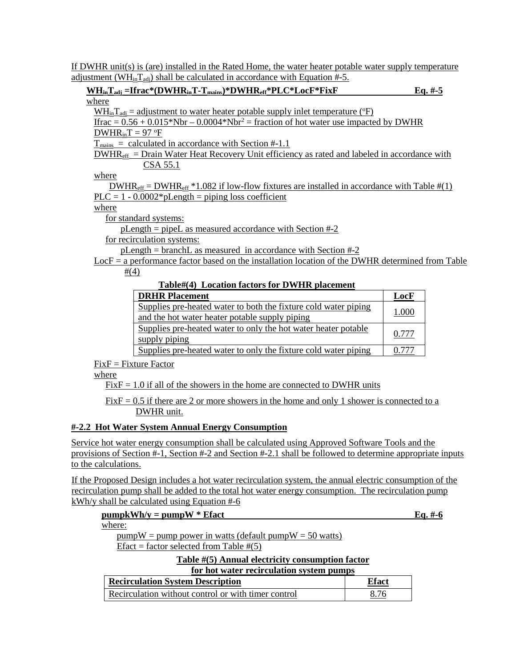If DWHR unit(s) is (are) installed in the Rated Home, the water heater potable water supply temperature adjustment (WH<sub>in</sub>T<sub>adj</sub>) shall be calculated in accordance with Equation #-5.

| $WHinTadi = Ifrac* (DWHRinT-Tmain) * DWHReff * PLC* LocF * FixF$                                                  | Eq. $#$ -5 |
|-------------------------------------------------------------------------------------------------------------------|------------|
| where                                                                                                             |            |
| $WH_{in}T_{adi}$ = adjustment to water heater potable supply inlet temperature ( ${}^{\circ}F$ )                  |            |
| Ifrac = $0.56 + 0.015*$ Nbr – $0.0004*$ Nbr <sup>2</sup> = fraction of hot water use impacted by DWHR             |            |
| $DWHR_{in}T = 97$ °F                                                                                              |            |
| $T_{\text{main}}$ = calculated in accordance with Section #-1.1                                                   |            |
| $DWHR_{\text{eff}}$ = Drain Water Heat Recovery Unit efficiency as rated and labeled in accordance with           |            |
| CSA 55.1                                                                                                          |            |
| where                                                                                                             |            |
| DWHR <sub>eff</sub> = DWHR <sub>eff</sub> *1.082 if low-flow fixtures are installed in accordance with Table #(1) |            |
| $PLC = 1 - 0.0002 * pLength =$ piping loss coefficient                                                            |            |
| where                                                                                                             |            |
| for standard systems:                                                                                             |            |
| $pLength = pipeL$ as measured accordance with Section #-2                                                         |            |
| for recirculation systems:                                                                                        |            |

pLength = branchL as measured in accordance with Section #-2

 $LocF = a$  performance factor based on the installation location of the DWHR determined from Table  $#(4)$ 

#### **Table#(4) Location factors for DWHR placement**

| <b>DRHR Placement</b>                                                                                             | LocF  |
|-------------------------------------------------------------------------------------------------------------------|-------|
| Supplies pre-heated water to both the fixture cold water piping<br>and the hot water heater potable supply piping | 1.000 |
| Supplies pre-heated water to only the hot water heater potable<br>supply piping                                   | 0.777 |
| Supplies pre-heated water to only the fixture cold water piping                                                   |       |

 $FixF = Fixture Factor$ 

where

 $FixF = 1.0$  if all of the showers in the home are connected to DWHR units

 $FixF = 0.5$  if there are 2 or more showers in the home and only 1 shower is connected to a DWHR unit.

#### **#-2.2 Hot Water System Annual Energy Consumption**

Service hot water energy consumption shall be calculated using Approved Software Tools and the provisions of Section #-1, Section #-2 and Section #-2.1 shall be followed to determine appropriate inputs to the calculations.

If the Proposed Design includes a hot water recirculation system, the annual electric consumption of the recirculation pump shall be added to the total hot water energy consumption. The recirculation pump kWh/y shall be calculated using Equation #-6

| $pumpkWh/y = pumpW * Effect$ |  |
|------------------------------|--|
| where:                       |  |

where:

 $pumpW = pump$  power in watts (default  $pumpW = 50$  watts) Efact = factor selected from Table  $\#(5)$ 

**Table #(5) Annual electricity consumption factor**

| <b>Recirculation System Description</b>             | Efact |
|-----------------------------------------------------|-------|
| Recirculation without control or with timer control | 8.76  |